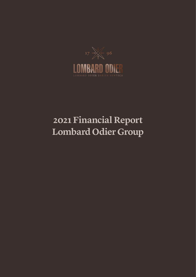

# **2021 Financial Report Lombard Odier Group**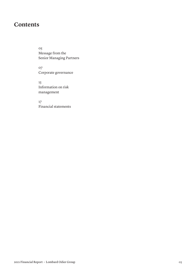## **Contents**

05 Message from the [Senior Managing Partners](#page-4-0)

07 [Corporate governance](#page-6-0)

13 [Information on risk](#page-12-0)  management

17 [Financial statements](#page-16-0)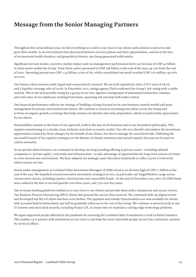## <span id="page-4-0"></span>**Message from the Senior Managing Partners**

Throughout this extraordinary year, we did everything we could to stay close to our clients and continue to preserve and grow their wealth. In an environment that alternated between recovery phases and their opportunities, caution in the face of an uncertain health situation, and geopolitical threats, our Group generated solid results.

Significant net new money, a positive market impact and our management performance led to an increase of CHF 42 billion in client assets within the Group. Total client assets amounted to CHF 358 billion at the end of the year, up 13% from the end of 2020. Operating income was CHF 1.45 billion, a rise of 3%, while consolidated net profit reached CHF 270 million, up 30% on 2020.

Our balance sheet remains solid, liquid and conservatively invested. We are well capitalised, with a CET1 ratio of 28.5% and a liquidity coverage ratio of 201%. In December 2021, ratings agency Fitch confirmed the Group's AA- rating with a stable outlook. This is the best possible rating for a group of our size. Against a background of substantial transaction volumes, and with some of our employees working from home, operating risk was kept well under control.

Our financial performance reflects our strategy of building a Group focused on its core business, namely wealth and asset management for private and institutional clients. We continue to invest in recruiting new talent across the Group and to focus on organic growth, a strategy that helps sustain our identity and value proposition, which are particularly appreciated by our clients.

Sustainability remains at the heart of our approach, both in the way we do business and in our investment philosophy. This requires transitioning to a circular, lean, inclusive and clean economic model. Our role is to identify and analyse the investment opportunities created by these changes for the benefit of our clients, but also to manage the associated risks. Following the successful launch of two equities strategies on the themes of climate transition and natural capital, this year we focused on carbon neutrality.

In our private client business, we continued to develop our long-standing offering in private assets - including unlisted companies or 'private equity', real estate and infrastructure - to take advantage of opportunities for long-term sources of return in a low interest rate environment. We have adapted our strategic asset allocation framework to reflect a post-Covid world where returns are low.

Assets under management at Lombard Odier Investment Managers (LOIM) stood at an all-time high of CHF 71 billion at the end of the year. We launched several innovative investment strategies in 2021, in particular our TargetNetZero range across various asset classes, including equities, fixed income and convertible bonds. At the end of December 2021, 63% of LOIM funds were ranked in the first or second quartile over three years, and 73% over five years.

Our in-house banking platform enabled us to stay close to our clients and provide them with a transparent and secure service. Our Business Process Outsourcing (BPO) clients also praised the service they received. We continued with our digital events and developed our My LO client interface even further. The payment and transfer functionalities are now available for clients with accounts held in Switzerland, and will be gradually rolled out to the rest of the Group. We continue to invest heavily in our IT systems and associated security, including Project GX, to ensure that we maintain a cutting-edge technology platform.

We again supported people affected by the pandemic by renewing the Lombard Odier Foundation's Covid-19 Relief initiative. This enables us to partner with institutions we are close to and help the most vulnerable people across four continents, assisted by our local offices.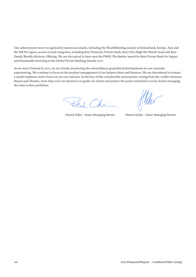Our achievements were recognised by numerous awards, including the WealthBriefing awards in Switzerland, Europe, Asia and the MENA region, across several categories, including Best Domestic Private Bank, Best Ultra High Net Worth Team and Best Family Wealth Advisory Offering. We are also proud to have won the PWM/The Banker award for Best Private Bank for Impact and Sustainable Investing at the Global Private Banking Awards 2021.

As we move forward in 2022, we are closely monitoring the extraordinary geopolitical developments we are currently experiencing. We continue to focus on the prudent management of our balance sheet and finances. We are determined to remain a model employer and to focus on our core mission. In the face of the considerable uncertainties arising from the conflict between Russia and Ukraine, more than ever our mission is to guide our clients and protect the assets entrusted to us by closely managing the risks to their portfolios.

Patrick Odier – *Senior Managing Partner* Hubert Keller – *Senior Managing Partner*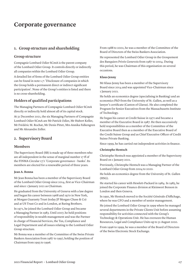## <span id="page-6-0"></span>**Corporate governance**

### **1. Group structure and shareholding**

### **Group structure**

Compagnie Lombard Odier SCmA is the parent company of the Lombard Odier Group. It controls directly or indirectly all companies within the Lombard Odier Group.

A detailed list of firms of the Lombard Odier Group entities can be found in note 1.7: 'Disclosure of companies in which the Group holds a permanent direct or indirect significant participation'. None of the Group's entities is listed and there is no cross-shareholding.

### **Holders of qualified participations**

The Managing Partners of Compagnie Lombard Odier SCmA directly or indirectly hold almost all of its capital stock.

At 31 December 2021, the six Managing Partners of Compagnie Lombard Odier SCmA are Mr Patrick Odier, Mr Hubert Keller, Mr Frédéric M. Rochat, Mr Denis Pittet, Mrs Annika Falkengren and Mr Alexandre Zeller.

### **2. Supervisory Board**

### **Members**

The Supervisory Board (SB) is made up of three members who are all independent in the sense of marginal number 17 ff of the FINMA Circular 17/1 'Corporate governance – banks'. Its members are elected for a renewable period of three years.

### **Jean A. Bonna**

Mr Jean Bonna has been a member of the Supervisory Board of the Lombard Odier Group since 2014, first as Vice-Chairman and since 1 January 2021 as Chairman.

He graduated from the University of Geneva with a law degree and began his career between 1968 and 1970 in New York, at Morgan Guaranty Trust (today JP Morgan Chase & Co) and at US Trust Co and in London, at Baring Brothers.

In 1971, he joined the Lombard Odier Group and became a Managing Partner in 1983. Until 2007, he held positions of responsibility in wealth management and was the Partner in charge of Financial Services, the Tax, Compliance and Legal Department and all issues relating to the Lombard Odier Group structure.

Mr Bonna was a member of the Committee of the Swiss Private Bankers Association from 1987 to 1997, holding the position of Chairman from 1993 to 1996.

From 1988 to 2002, he was a member of the Committee of the Board of Directors of the Swiss Bankers Association.

He represented the Lombard Odier Group in the Groupement des Banquiers Privés Genevois from 1987 to 2004. During this period, he was Chairman of this organisation on several occasions.

### **Klaus Jenny**

Mr Klaus Jenny has been a member of the Supervisory Board since 2014 and was appointed Vice-Chairman since 1 January 2021.

He holds an economics degree (specialising in Banking) and an economics PhD from the University of St. Gallen, as well as a lawyer's certificate (Canton of Glarus). He also completed the Program for Senior Executives from the Massachusetts Institute of Technology.

He began his career at Credit Suisse in 1972 and became a member of the Executive Board in 1987. He then successively held responsibilities as a member of the Committee of the Executive Board then as a member of the Executive Board of the Credit Suisse Group and as Chief Executive Officer of Credit Suisse Private Banking.

Since 1999, he has carried out independent activities in finance.

### **Christophe Hentsch**

Christophe Hentsch was appointed a member of the Supervisory Board on 1 January 2021.

Previously, Christophe Hentsch was a Managing Partner of the Lombard Odier Group from 2004 to 2020.

He holds an economics degree from the University of St. Gallen (HSG).

He started his career with Hewlett-Packard in 1984. In 1985, he joined the Corporate Finance division at Kleinwort Benson in London and then Geneva.

In 1991, Mr Hentsch moved to the Société Générale d'Affichage, where he was CFO and a member of senior management.

He joined the Lombard Odier Group in 1999 where he managed several departments in the Private Clients Unit before assuming responsibility for activities connected with the Group's Technology & Operations Unit. He has overseen the Human Resources, Legal and Compliance Units up to 31 August 2020.

From 1996 to 1999, he was a member of the Board of Directors of the Swiss Electronic Stock Exchange.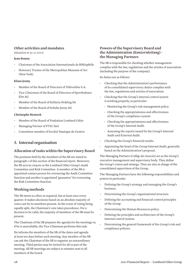### **Other activities and mandates**

(situation at 31.12.2021)

### **Jean Bonna**

- Chairman of the Association Internationale de Bibliophilie
- Honorary Trustee of the Metropolitan Museum of Art (New York).

### **Klaus Jenny**

- Member of the Board of Directors of Téléverbier S.A.
- Vice-Chairman of the Board of Directors of Sportbahnen Elm AG
- Member of the Board of Stellaria Holding SA
- Member of the Board of Schuhe Jenny AG

### **Christophe Hentsch**

- Member of the Board of Fondation Lombard Odier
- Managing Partner of PTIC Sàrl
- Committee member of Société Nautique de Genève

### **3. Internal organisation**

### **Allocation of tasks within the Supervisory Board**

The positions held by the members of the SB are stated in paragraph 2 of this section of the financial report. Moreover, the SB acts in corpore as the Lombard Odier Group's Audit Committee and Risk Committee. A member of the SB is appointed contact person for overseeing the Audit Committee function and another is appointed 'guarantor' for overseeing the Risk Committee function.

### **Working methods**

The SB meets as often as required, but at least once every quarter. It makes decisions based on an absolute majority of votes cast by its members present. In the event of voting being equally split, the Chairman's vote takes precedence. For a decision to be valid, the majority of members of the SB must be present.

The Chairman of the SB prepares the agenda for the meetings or, if he is unavailable, the Vice-Chairman performs this task.

He informs the members of the SB of the dates and agenda at least ten days before each meeting. Any member of the SB can ask the Chairman of the SB to organise an extraordinary meeting. Third parties may be invited for all or part of the meeting. All SB meetings are subject to minutes sent to all members of the board.

### **Powers of the Supervisory Board and the Administration (***Konzernleitung***) – the Managing Partners**

The SB is responsible for checking whether management complies with the law, regulations and the articles of association (including the purpose of the company).

Its duties are as follows:

- Checking that the Administration's performance of its consolidated supervisory duties complies with the law, regulations and articles of association.
- Checking that the Group's internal control system is working properly, in particular:
	- Monitoring the Group's risk management policy.
	- Checking the appropriateness and effectiveness of the Group's compliance system.
	- Checking the appropriateness and effectiveness of the Group's Internal Audit.
	- Assessing the reports issued by the Group's Internal Audit and External Audit.
- Checking the Group's financial results.
- Appointing the head of the Group Internal Audit, generally based on the Administration's proposal.

The Managing Partners (*Collège des Associés*) act as the Group's executive management and supervisory body. They define the Group's vision and strategy. They are also in charge of the consolidated supervision of the Group.

The Managing Partners have the following responsibilities and powers in particular:

- Defining the Group's strategy and managing the Group's business.
- Determining the Group's organisational structure.
- Defining the accounting and financial control principles of the Group.
- Determining the Human Resources policy.
- Defining the principles and architecture of the Group's internal control system.
- Determining the general framework of the Group's risk and compliance policies.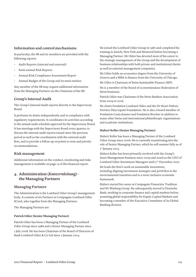### **Information and control mechanisms**

In particular, the SB and its members are provided with the following reports:

- Audit Reports (internal and external)
- Semi-annual Risk Reports
- Annual Risk Compliance Assessment Report
- Annual Budget of the Group and its main entities

Any member of the SB may request additional information from the Managing Partners via the Chairman of the SB.

### **Group's Internal Audit**

The Group's Internal Audit reports directly to the Supervisory Board.

It performs its duties independently and in compliance with regulatory requirements. It coordinates its activities according to the annual audit schedule approved by the Supervisory Board. It has meetings with the Supervisory Board every quarter, to discuss the internal audit reports issued since the previous period as well as the coordination with the external audit firm, and to provide a follow-up on points to note and priority recommendations.

### **Risk management**

Additional information on the conduct, monitoring and risks management is available on page 13 of this financial report.

### **4. Administration (***Konzernleitung***) – the Managing Partners**

### **Managing Partners**

The Administration is the Lombard Odier Group's management body. It consists of six Partners in Compagnie Lombard Odier SCmA, who together form the Managing Partners.

The Managing Partners are:

### **Patrick Odier (Senior Managing Partner)**

Patrick Odier has been a Managing Partner of the Lombard Odier Group since 1986 and a Senior Managing Partner since

1 July 2008. He has been Chairman of the Board of Directors of Bank Lombard Odier & Co Ltd since 1 January 2014.

He joined the Lombard Odier Group in 1982 and completed his training in Zurich, New York and Montreal before becoming a Managing Partner. Mr Odier has devoted most of his career to the strategic management of the Group and the development of business relationships with both private and institutional clients as well as external management companies.

Mr Odier holds an economics degree from the University of Geneva and a MBA in finance from the University of Chicago.

Mr Odier is Chairman of Swiss Sustainable Finance (SSF).

He is a member of the Board of economiesuisse (federation of Swiss business).

Patrick Odier was Chairman of the Swiss Bankers Association from 2009 to 2016.

He chairs Fondation Lombard Odier and the Dr Henri Dubois-Ferrière Dinu Lipatti Foundation. He is also a board member of Fondation Louis-Jeantet and Fondation Brocher in addition to many other Swiss and international philanthropic organisations and academic institutions.

### **Hubert Keller (Senior Managing Partner)**

Hubert Keller has been a Managing Partner of the Lombard Odier Group since 2006. He is currently transitioning into the role of Senior Managing Partner, which he will assume fully as of 1st January 2023.

Hubert Keller has been primarily involved with the Group's Asset Management business since 2009 and acted as the CEO of Lombard Odier Investment Managers until 3<sup>1st</sup> December 2020

He leads the firm's work on sustainable investment, including aligning investment strategies and portfolios to the environmental transition and to a more inclusive economic framework.

Hubert started his career at Compagnie Financière Tradition and SG Warburg Group. He subsequently moved to Deutsche Bank, working in corporate finance and capital markets before assuming global responsibility for Equity Capital Markets and becoming a member of the Executive Committee of its Global Banking division.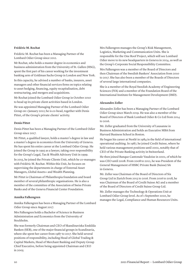### **Frédéric M. Rochat**

Frédéric M. Rochat has been a Managing Partner of the Lombard Odier Group since 2012.

Mr Rochat, who holds a master degree in economics and business administration from the University of St. Gallen (HSG), spent the first part of his career working for the investment banking arm of Goldman Sachs Group in London and New York.

In this capacity, he advised a number of banks, insurers, asset managers and other financial services firms on topics relating to asset hedging, financing, equity recapitalisation, debt restructuring, and mergers and acquisitions.

Mr Rochat joined the Lombard Odier Group in October 2010 to head up its private client activities based in London.

He was appointed Managing Partner of the Lombard Odier Group on 1 January 2012; he is co-head, together with Denis Pittet, of the Group's private clients' activity.

### **Denis Pittet**

Denis Pittet has been a Managing Partner of the Lombard Odier Group since 2017.

Mr Pittet, a qualified lawyer, holds a master's degree in law and a master's degree in economics from the University of Geneva. He has spent his entire career at the Lombard Odier Group. He joined the Group in 1993 as a lawyer, taking over responsibility for the Group's Legal, Tax & Wealth Advisory Unit in 1999.

In 2015, he joined the Private Clients Unit, which he co-manages with Frédéric M. Rochat. Within this Unit, he focuses on supervising the departments in charge of External Asset Managers, Global Assets+ and Wealth Planning.

Mr Pittet is Chairman of Philanthropia foundation and board member of several philanthropic organisations. He is also a member of the committee of the Association of Swiss Private Banks and of the Geneva Financial Center Foundation.

### **Annika Falkengren**

Annika Falkengren has been a Managing Partner of the Lombard Odier Group since August 2017.

Mrs Falkengren holds a Bachelor of Science in Business Administration and Economics from the University of Stockholm.

She was formerly Chairman and CEO of Skandinaviska Enskilda Banken (SEB), one of the major financial groups in Scandinavia, where she spent her career from 1987 to 2017. She held several positions of responsibility, including Head of Global Trading & Capital Markets, Head of Merchant Banking and Deputy Group Chief Executive, before being appointed Chairman and CEO in 2005.

Mrs Falkengren manages the Group's Risk Management, Logistics, Marketing and Communication Units. She is responsible for the One Roof Project, which will see Lombard Odier move to its new headquarters in Geneva in 2024, as well as the Group's Corporate Social Responsibility Committee.

Mrs Falkengren was a member of the Board of Directors and then Chairman of the Swedish Bankers' Association from 2010 to 2017. She has also been a member of the Boards of Directors of several large international companies.

She is a member of the Royal Swedish Academy of Engineering Sciences (IVA) and a member of the Foundation Board of the International Institute for Management Development (IMD).

### **Alexandre Zeller**

Alexandre Zeller has been a Managing Partner of the Lombard Odier Group since March 2019. He was also a member of the Board of Directors of Bank Lombard Odier & Co Ltd from 2014 to 2016.

Mr. Zeller graduated from the University of Lausanne in Business Administration and holds an Executive MBA from Harvard Business School in Boston.

He began his career at Nestlé in 1984 in the field of international operational auditing. In 1987, he joined Credit Suisse, where he held various management positions until 2002, notably that of CEO of the Private Banking activity in Switzerland.

He then joined Banque Cantonale Vaudoise in 2002, of which he was CEO until 2008. From 2008 to 2012, he was President of the General Management of HSBC Private Bank (Suisse) SA in Geneva.

Mr. Zeller was Chairman of the Board of Directors of Six Group Ltd in Zurich from 2013 to 2016. From 2016 to 2018, he was Chairman of the Board of Credit Suisse AG and a member of the Board of Directors of Credit Suisse Group Ltd.

Mr. Zeller manages the Technology & Operations Unit at Lombard Odier Group level. As of 1 September 2020, he manages the Legal, Compliance and Human Resources Units.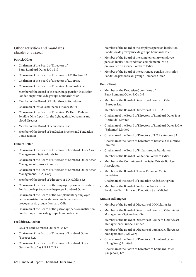### **Other activities and mandates**

(situation at 31.12.2021)

### **Patrick Odier**

- Chairman of the Board of Directors of Bank Lombard Odier & Co Ltd
- Chairman of the Board of Directors of LO Holding SA
- Chairman of the Board of Directors of LO IP SA
- Chairman of the Board of Fondation Lombard Odier
- Member of the Board of the patronage pension institution Fondation patronale du groupe Lombard Odier
- Member of the Board of Philanthropia foundation
- Chairman of Swiss Sustainable Finance (SSF)
- Chairman of the Board of Fondation Dr Henri Dubois-Ferrière Dinu Lipatti for the fight against leukaemia and blood diseases
- Member of the Board of economiesuisse
- Member of the Board of Fondation Brocher and Fondation Louis-Jeantet

### **Hubert Keller**

- Chairman of the Board of Directors of Lombard Odier Asset Management (Switzerland) SA
- Chairman of the Board of Directors of Lombard Odier Asset Management (Europe) Limited
- Chairman of the Board of Directors of Lombard Odier Asset Management (USA) Corp
- Member of the Board of Directors of LO Holding SA
- Chairman of the Board of the employee pension institution Fondation de prévoyance du groupe Lombard Odier
- Chairman of the Board of the complementary employee pension institution Fondation complémentaire de prévoyance du groupe Lombard Odier
- Chairman of the Board of the patronage pension institution Fondation patronale du groupe Lombard Odier

### **Frédéric M. Rochat**

- CEO of Bank Lombard Odier & Co Ltd
- Chairman of the Board of Directors of Lombard Odier (Europe) S.A.
- Chairman of the Board of Directors of Lombard Odier Gestion (España) S.G.I.I.C. S.A.
- Member of the Board of the employee pension institution Fondation de prévoyance du groupe Lombard Odier
- Member of the Board of the complementary employee pension institution Fondation complémentaire de prévoyance du groupe Lombard Odier
- Member of the Board of the patronage pension institution Fondation patronale du groupe Lombard Odier

### **Denis Pittet**

- Member of the Executive Committee of Bank Lombard Odier & Co Ltd
- Member of the Board of Directors of Lombard Odier (Europe) S.A.
- Member of the Board of Directors of LO IP SA
- Chairman of the Board of Directors of Lombard Odier Trust (Bermuda) Limited
- Chairman of the Board of Directors of Lombard Odier & Cie (Bahamas) Limited
- Chairman of the Board of Directors of LO Patrimonia SA
- Chairman of the Board of Directors of Bershield Insurance Limited
- Chairman of the Board of Philanthropia foundation
- Member of the Board of Fondation Lombard Odier
- Member of the Committee of the Swiss Private Bankers Association
- Member of the Board of Geneva Financial Center Foundation
- Chairman of the Board of Fondation André & Cyprien
- Member of the Board of Fondation Pro Victimis, Fondation Franklinia and Fondation Saint-Michel

### **Annika Falkengren**

- Member of the Board of Directors of LO Holding SA
- Member of the Board of Directors of Lombard Odier Asset Management (Switzerland) SA
- Member of the Board of Directors of Lombard Odier Asset Management (Europe) Limited
- Member of the Board of Directors of Lombard Odier Asset Management (USA) Corp
- Chairman of the Board of Directors of Lombard Odier (Hong Kong) Limited
- Chairman of the Board of Directors of Lombard Odier (Singapore) Ltd.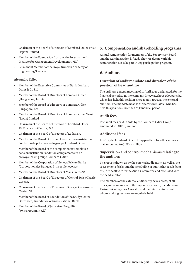- Chairman of the Board of Directors of Lombard Odier Trust (Japan) Limited
- Member of the Foundation Board of the International Institute for Management Development (IMD)
- Permanent Member or the Royal Swedish Academy of Engineering Sciences

### **Alexandre Zeller**

- Member of the Executive Committee of Bank Lombard  $O$ dier & Co Ltd
- Member of the Board of Directors of Lombard Odier (Hong Kong) Limited
- Member of the Board of Directors of Lombard Odier (Singapore) Ltd.
- Member of the Board of Directors of Lombard Odier Trust (Japan) Limited
- Chairman of the Board of Directors of Lombard Odier T&O Services (Europe) S.A.
- Chairman of the Board of Directors of Lodati SA
- Member of the Board of the employee pension institution Fondation de prévoyance du groupe Lombard Odier
- Member of the Board of the complementary employee pension institution Fondation complémentaire de prévoyance du groupe Lombard Odier
- Member of the Corporation of Geneva Private Banks (Corporation des Banques Privées Genevoises)
- Member of the Board of Directors of Maus Frères SA
- Chairman of the Board of Directors of Central Swiss Classic Cars SA
- Chairman of the Board of Directors of Garage Carrosserie Central SA
- Member of the Board of Foundation of the Study Center Gerzensee, Foundation of Swiss National Bank
- Member of the Board of Schweizer Berghilfe (Swiss Mountain Aid)

### **5. Compensation and shareholding programs**

Annual remuneration for members of the Supervisory Board and the Administration is fixed. They receive no variable remuneration nor take part in any participation program.

### **6. Auditors**

### **Duration of audit mandate and duration of the position of head auditor**

The ordinary general meeting of 15 April 2021 designated, for the financial period 2021, the company PricewaterhouseCoopers SA, which has held this position since 27 July 2001, as the external auditors. The mandate head is Mr Beresford Caloia, who has held this position since the 2015 financial period.

### **Audit fees**

The audit fees paid in 2021 by the Lombard Odier Group amounted to CHF 2.3 million.

### **Additional fees**

In 2021, the Lombard Odier Group paid fees for other services that amounted to CHF 1.1 million.

### **Supervision and control mechanisms relating to the auditors**

The reports drawn up by the external audit entity, as well as the assessment of risks and the scheduling of audits that result from this, are dealt with by the Audit Committee and discussed with the head auditor.

The members of the external audit entity have access, at all times, to the members of the Supervisory Board, the Managing Partners (Collège des Associés) and the Internal Audit, with whom working sessions are regularly held.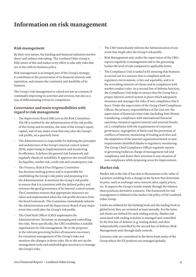## <span id="page-12-0"></span>**Information on risk management**

### **Risk management**

By their very nature, the banking and financial industries involve direct and indirect risk-taking. The Lombard Odier Group is fully aware of this and makes every effort to take only risks that are in line with its business policy.

Risk management is an integral part of the Group's strategy; it contributes to the preservation of its financial interests and reputation, and ensures the continuity and durability of its business.

The Group's risk management is valued not just as a means of continually improving its activities and services, but also as a way of differentiating it from its competitors.

### **Governance and main responsibilities with regard to risk management**

- The Supervisory Board (SB) acts as the Risk Committee. The SB is notified by the Administration of the risk profile of the Group and its entities, the state of the Group's equity capital, and of any major event that may alter the Group's risk profile, on a quarterly basis.
- The Administration is responsible for defining the principles and architecture of the Group's internal control system (ICS), supervising its implementation and monitoring its efficiency. It defines the general risk framework and regularly checks its suitability. It approves the overall limits for liquidity, market risk, credit risk and counterparty risk.
- The Finance, Risk & Due Diligence Committee has decision-making powers and is responsible for establishing the Group's risk policy and proposing it to the Administration. It monitors the Group's risk profile to ensure that it is consistent with the defined policy and oversees the good governance of its internal control system. The Committee ensures that appropriate measures are taken and implemented when the risk profile deviates from the fixed framework. The Committee immediately informs the Administration and the Supervisory Board of any major event that could alter the Group's risk profile.
- The Chief Risk Officer (CRO) implements the Administrations' decisions on managing and controlling the risks. More specifically, the CRO establishes a suitable organisation for risk management. He or she proposes to the relevant governing bodies all measures necessary for consistent management of the Group's risks and monitors the changes in those risks. He or she sets up the management tools and methodologies necessary to manage the Group's risks.
- The CRO immediately informs the Administration of any event that might alter the Group's risk profile.
- Risk Management unit, under the supervision of the CRO, reports regularly to management and to the governing bodies the level of risk compared to applicable limits.
- The Compliance Unit is tasked with ensuring that business is carried out in a manner that is compliant with our regulatory environment, is fair and equitable, and is in the overriding interests of clients and in compliance with market conduct rules. As a second line of defense function, the Compliance Unit helps to ensure that the Group has a proper internal control system in place which adequately measures and manages the risks of non-compliance that it faces. Under the supervision of the Group Chief Compliance Officer, the primary responsibilities of the Unit are: the supervision of financial crime risks (including Anti-Money Laundering, compliance with international financial sanctions, measures against internal and external frauds, etc.), compliance with the requirements of corporate governance, segregation of duties and the prevention of conflicts of interest, monitoring of trading activities and the adaptation of the internal organisation based on new requirements identified thanks to regulatory monitoring. The Group Chief Compliance Officer regularly reports to governing bodies in charge of management risk and compliance and draws their attention to any situation of non-compliance while proposing areas for improvement.

### **Market risk**

Market risk is the risk of loss due to fluctuations in the value of a position resulting from a change in the factors that determine its price, such as exchange rates, interest rates, equity prices, etc. It impacts the Group's results mainly through the balance sheet positions derivative contracts. The framework for risk management is defined in the market risk policy of the Lombard Odier Group.

Limits are defined for the banking book and the trading book at global level; they are reviewed at least annually. For the latter sub-limits are defined for each trading activity. Market risk associated with trading activities is managed and controlled by the first line of defense (e.g. trading desks), and then independently controlled by the second line of defense (Risk Management unit) through daily controls.

Currency risks are centralised in the Swiss bank entity of the Group where the FX positions are managed globally.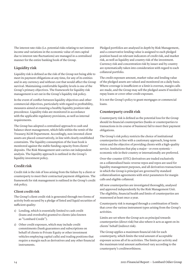The interest rate risks (i.e. potential risks relating to net interest income and variations in the economic value of own capital due to interest rate fluctuations) are managed in a centralised manner for the entire banking book of the Group.

### **Liquidity risk**

Liquidity risk is defined as the risk of the Group not being able to meet its payment obligations at any time, for any of its entities and in any currency and without cost that would affect the Group survival. Maintaining comfortable liquidity levels is one of the Group's primary objectives. The framework for liquidity risk management is set out in the Group's liquidity risk policy.

In the event of conflict between liquidity objectives and other commercial objectives, particularly with regard to profitability, measures aimed at ensuring a healthy liquidity position take precedence. Liquidity risks are monitored in accordance with the applicable regulatory provisions, as well as internal requirements.

The Group has adopted a centralised approach to cash and balance sheet management, which falls within the remit of the Treasury/ALM Department. Accordingly, non-invested client assets are placed conservatively, in line with clearly established constraints. The liquidity consumption of the loan book is monitored against the stable funding capacity from clients' deposits. The Risk Management unit carries out independent analysis. The liquidity approach is outlined in the Group's liquidity investment policy.

### **Credit risk**

Credit risk is the risk of loss arising from the failure by a client or counterparty to meet their contractual payment obligations. The framework for risk management is outlined in the Group's credit risk policy.

### **Client credit risk**

The Group's client credit risk is generated through two forms of activity both secured by a pledge of listed and liquid securities of sufficient quality:

- 1) Lending, which is essentially limited to cash credit (loans and overdrafts) granted to clients (also known as "Lombard Credit").
- 2) Other credit exposure, which may include credit commitments (bank guarantees and subscriptions on behalf of clients to Private Equity or other investment vehicles employing capital calls) and trading positions that require a margin such as derivatives and any other financial instruments.

Pledged portfolios are analysed in depth by Risk Management, and a conservative lending value is assigned to each pledged position based on relevant indicators of credit risk, and market risk, as well as liquidity and country risk of the investment. Currency risk and concentration risk by issuer and by country are systematically taken into consideration with regard to each collateral portfolio.

The credit exposure amount, market value and lending value of the pledged assets are valued and monitored on a daily basis. Where coverage is insufficient or a limit is overrun, margin calls are made, and the Group may sell the pledged assets if needed to repay loans or cover other credit exposure.

It is not the Group's policy to grant mortgages or commercial loans.

### **Counterparty credit risk**

Counterparty risk is defined as the potential loss for the Group should its financial counterparties (banks or counterparties to transactions in its course of business) fail to meet their payment obligations.

The Group's risk policy restricts the choice of institutional counterparties in line with a cautionary approach, long-term vision and the objective of providing clients with a high-quality service. Institutions that play a major – or even systemic – economic role in their country or internationally are preferred.

Over-the-counter (OTC) derivatives are traded exclusively on a collateralised basis: reverse repos and repos are used for liquidity management purposes, and all derivatives transactions in which the Group is principal are governed by standard collateralisation agreements with strict parameters for margin calls and eligible collateral.

All new counterparties are investigated thoroughly, analysed and approved independently by the Risk Management Unit. The eligibility, financial health and limits of counterparties are reassessed at least once a year.

Counterparty risk is managed through a combination of limits that cover the various instrument types arising from the Group's activities.

Limits are set where the Group acts as principal towards counterparties (direct risk) but also where it acts as agent on its clients' behalf (indirect risk).

The Group applies a maximum financial risk for each counterparty, which limits the total amount of acceptable exposure across all of its activities. The limits per activity and the maximum total amount authorised vary according to the counterparty's creditworthiness.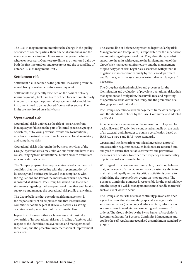The Risk Management unit monitors the change in the quality of service of counterparties, their financial soundness and the macroeconomic situation. It proposes changes to the limits wherever necessary. Counterparty limits are monitored daily by both the first line (traders and treasurers) and the second line of defense (Risk Management Unit).

### **Settlement risk**

Settlement risk is defined as the potential loss arising from the non-delivery of instruments following payment.

Settlements are generally executed on the basis of delivery versus payment (DvP). Limits are defined for each counterparty in order to manage the potential replacement risk should the instrument need to be purchased from another source. The limits are monitored on a daily basis.

### **Operational risk**

Operational risk is defined as the risk of loss arising from inadequacy or failure on the part of internal processes, people or systems, or following external events due to intentional, accidental or natural causes. It includes legal, fiscal, regulatory and compliance risks.

Operational risk is inherent in the business activities of the Group. Operational risk may take various forms and have many causes, ranging from unintentional human error to fraudulent acts and external events.

The Group is prepared to accept operational risks on the strict condition that they are in line with the implementation of its strategy and business policy, and that compliance with the regulations and laws of the markets in which it operates is ensured at all times. The Group has issued risk tolerance statements regarding the key operational risks that enables it to supervise and manage the operational risk profile at any time.

The Group believes that operational risk management is the responsibility of all employees and that it requires the commitment of managers at all levels, as well as a strong operational risk prevention culture within the Group.

In practice, this means that each business unit must take ownership of its operational risks as a first line of defence with respect to the identification, evaluation and management of these risks, and the proactive implementation of improvement measures.

The second line of defence, represented in particular by Risk Management and Compliance, is responsible for the supervision and monitoring of operational risk. They also offer specialist support to the units with regard to the implementation of the Group's risk management framework and the management of specific types of risk. Legal risks associated with potential litigation are assessed individually by the Legal department and Partners, with the assistance of external expert lawyers if necessary.

The Group has defined principles and processes for the identification and evaluation of prevalent operational risks, their management and mitigation, the surveillance and reporting of operational risks within the Group, and the promotion of a strong operational risk culture.

The Group's operational risk management framework complies with the standards defined by the Basel Committee and adopted by FINMA.

An independent assessment of the internal control system for back-office and IT activities is conducted annually on the basis of an external audit in order to obtain a certification based on ISAE 3402 type 2 and ISAE 3000 standards.

Operational incidents trigger notification, review, approval and escalation requirements. Such incidents are reported and analysed to ensure that suitable corrective and preventive measures can be taken to reduce the frequency and materiality of potential risk events in the future.

With regard to its business continuity plan, the Group believes that, in the event of an accident or major disaster, its ability to maintain and rapidly recover its critical activities is crucial to minimising the impact of such events on its operations. The Business Continuity Manager is responsible for the methodology and the setup of a Crisis Management team to handle matters if such an event were to occur.

The Group also tests its business continuity plan at least once a year to ensure that it is suitable, especially as regards its sensitive activities (technological infrastructure, information system, access to markets, and executing and booking of orders). The Group abides by the Swiss Bankers Association's Recommendations for Business Continuity Management and applies the self-regulation recognised as a minimum standard by FINMA.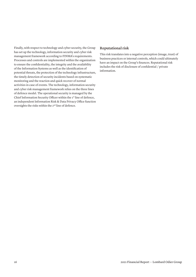Finally, with respect to technology and cyber security, the Group has set up the technology, information security and cyber risk management framework according to FINMA's requirements. Processes and controls are implemented within the organization to ensure the confidentiality, the integrity and the availability of the Information Systems as well as the identification of potential threats, the protection of the technology infrastructure, the timely detection of security incidents based on systematic monitoring and the reaction and quick recover of normal activities in case of events. The technology, information security and cyber risk management framework relies on the three lines of defence model. The operational security is managed by the Chief Information Security Officer within the 1st line of defence, an independent Information Risk & Data Privacy Office function oversights the risks within the 2nd line of defence.

### **Reputational risk**

This risk translates into a negative perception (image, trust) of business practices or internal controls, which could ultimately have an impact on the Group's finances. Reputational risk includes the risk of disclosure of confidential / private information.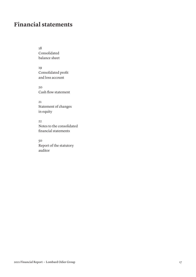## <span id="page-16-0"></span>**Financial statements**

18 [Consolidated](#page-17-0)  balance sheet

19 [Consolidated profit](#page-18-0)  and loss account

20 [Cash flow statement](#page-19-0)

21 [Statement of changes](#page-20-0)  in equity

22 [Notes to the consolidated](#page-21-0)  financial statements

50 [Report of the statutory](#page-49-0)  auditor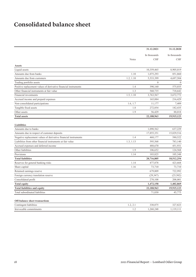## <span id="page-17-0"></span>**Consolidated balance sheet**

|                                                                 |           | 31.12.2021     | 31.12.2020       |
|-----------------------------------------------------------------|-----------|----------------|------------------|
|                                                                 |           | In thousands   | In thousands     |
|                                                                 | Notes     | <b>CHF</b>     | <b>CHF</b>       |
|                                                                 |           |                |                  |
| <b>Assets</b>                                                   |           |                |                  |
| Liquid assets                                                   |           | 10,359,465     | 8,905,019        |
| Amounts due from banks                                          | 1.10      | 1,075,293      | 851,860          |
| Amounts due from customers                                      | 1.2, 1.10 | 5,533,399      | 4,697,504        |
| Trading portfolio assets                                        |           | $\overline{0}$ | $\boldsymbol{0}$ |
| Positive replacement values of derivative financial instruments | 1.4       | 390,160        | 575,035          |
| Other financial instruments at fair value                       | 1.3       | 560,735        | 718,642          |
| Financial investments                                           | 1.5, 1.10 | 3,763,567      | 3,672,772        |
| Accrued income and prepaid expenses                             |           | 165,884        | 216,429          |
| Non-consolidated participations                                 | 1.6, 1.7  | 11,177         | 7,409            |
| Tangible fixed assets                                           | 1.8       | 272,854        | 182,435          |
| Other assets                                                    | 1.9       | 56,429         | 88,018           |
| <b>Total assets</b>                                             |           | 22,188,963     | 19,915,123       |
| <b>Liabilities</b>                                              |           |                |                  |
| Amounts due to banks                                            |           | 1,098,562      | 637,229          |
| Amounts due in respect of customer deposits                     |           | 17,855,351     | 15,829,516       |
| Negative replacement values of derivative financial instruments | 1.4       | 468,177        | 580,522          |
| Liabilities from other financial instruments at fair value      | 1.3, 1.13 | 595,568        | 783,140          |
| Accrued expenses and deferred income                            |           | 488,670        | 451,931          |
| Other liabilities                                               | 1.9       | 106,652        | 124,568          |
| Provisions                                                      | 1.14      | 103,825        | 105,348          |
| <b>Total liabilities</b>                                        |           | 20,716,805     | 18,512,254       |
| Reserves for general banking risks                              | 1.14      | 477,878        | 423,668          |
| Share capital                                                   | 1.16      | 73,710         | 73,710           |
| Retained earnings reserve                                       |           | 679,809        | 722,992          |
| Foreign currency translation reserve                            |           | (29, 347)      | (25,502)         |
| Consolidated profit                                             |           | 270,108        | 208,001          |
| <b>Total equity</b>                                             |           | 1,472,158      | 1,402,869        |
| <b>Total liabilities and equity</b>                             |           | 22,188,963     | 19,915,123       |
| Total subordinated liabilities                                  |           | 71,030         | 45,775           |
| <b>Off-balance sheet transactions</b>                           |           |                |                  |
| Contingent liabilities                                          | 1.2, 2.1  | 330,875        | 327,823          |
| Irrevocable commitments                                         | 1.2       | 1,268,248      | 1,119,111        |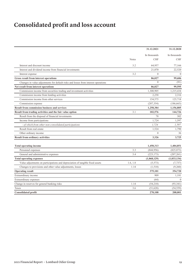## <span id="page-18-0"></span>**Consolidated profit and loss account**

|                                                                                    |              | 31.12.2021     | 31.12.2020     |
|------------------------------------------------------------------------------------|--------------|----------------|----------------|
|                                                                                    |              | In thousands   | In thousands   |
|                                                                                    | <b>Notes</b> | <b>CHF</b>     | <b>CHF</b>     |
| Interest and discount income                                                       | 3.2          | 64,957         | 77.166         |
| Interest and dividend income from financial investments                            |              | 21.070         | 22,520         |
| Interest expense                                                                   | 3.2          | $\overline{0}$ | $\overline{0}$ |
| Gross result from interest operations                                              |              | 86,027         | 99,686         |
| Changes in value adjustments for default risks and losses from interest operations |              | $\theta$       | (91)           |
| Net result from interest operations                                                |              | 86,027         | 99,595         |
| Commission income from securities trading and investment activities                |              | 1,308,905      | 1,215,434      |
| Commission income from lending activities                                          |              | 2,258          | 2,316          |
| Commission income from other services                                              |              | 154,575        | 125,718        |
| Commission expense                                                                 |              | (207, 354)     | (186, 663)     |
| <b>Result from commission business and services</b>                                |              | 1,258,384      | 1,156,805      |
| Result from trading activities and the fair value option                           | 3.1          | 102,576        | 144,726        |
| Result from the disposal of financial investments                                  |              | 78             | 302            |
| Income from participations                                                         |              | 1,724          | 1,597          |
| - of which from other non-consolidated participations                              |              | 1,724          | 1,597          |
| Result from real estate                                                            |              | 1,524          | 1,790          |
| Other ordinary income                                                              |              | $\theta$       | 36             |
| <b>Result from ordinary activities</b>                                             |              | 3,326          | 3,725          |
|                                                                                    |              |                |                |
| <b>Total operating income</b>                                                      |              | 1,450,313      | 1,404,851      |
| Personnel expenses                                                                 | 3.3          | (844,956)      | (825, 873)     |
| General and administrative expenses                                                | 3.4          | (223, 173)     | (207, 261)     |
| <b>Total operating expenses</b>                                                    |              | (1,068,129)    | (1,033,134)    |
| Value adjustments on participations and depreciation of tangible fixed assets      | 1.6, 1.8     | (5,573)        | (7, 737)       |
| Changes to provisions and other value adjustments, losses                          | 1.14         | (1,510)        | (9,260)        |
| <b>Operating result</b>                                                            |              | 375,101        | 354,720        |
| Extraordinary income                                                               |              | 909            | 1,181          |
| Extraordinary expenses                                                             |              | (64)           | $\Omega$       |
| Change in reserves for general banking risks                                       | 1.14         | (54,210)       | (93, 341)      |
| Taxes                                                                              | 3.6          | (51,628)       | (54, 559)      |
| <b>Consolidated profit</b>                                                         |              | 270,108        | 208,001        |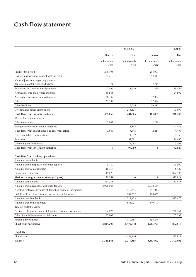## <span id="page-19-0"></span>**Cash flow statement**

|                                                                 |               | 31.12.2021   |               | 31.12.2020   |
|-----------------------------------------------------------------|---------------|--------------|---------------|--------------|
|                                                                 | <b>Source</b> | <b>Use</b>   | <b>Source</b> | <b>Use</b>   |
|                                                                 | In thousands  | In thousands | In thousands  | In thousands |
|                                                                 | <b>CHF</b>    | <b>CHF</b>   | <b>CHF</b>    | <b>CHF</b>   |
| Profit of the period                                            | 270,108       |              | 208,001       |              |
| Change in reserves for general banking risks                    | 54,210        |              | 93,341        |              |
| Value adjustments on participations and                         |               |              |               |              |
| depreciation of tangible fixed assets                           | 5,573         |              | 7,737         |              |
| Provisions and other value adjustments                          | 7,096         | 8,619        | 11,370        | 10,454       |
| Accrued income and prepaid expenses                             | 50,545        |              |               | 24,592       |
| Accrued expenses and deferred income                            | 36,739        |              | 77,062        |              |
| Other assets                                                    | 31,589        |              | 57,994        |              |
| Other liabilities                                               |               | 17,916       | 30,382        |              |
| Dividend and others distributions                               |               | 255,131      |               | 193,099      |
| Cash flow from operating activities                             | 455,860       | 281,666      | 485,887       | 228,145      |
| Shareholder reimbursement                                       |               |              |               |              |
| Other contribution                                              | 3,947         |              | 2,224         |              |
| Foreign currency translation differences                        |               | 3,845        |               | 4,476        |
| Cash flow from shareholder's equity transactions                | 3,947         | 3,845        | 2,224         | 4,476        |
| Non consolidated participations                                 |               | 4,077        |               | 1,760        |
| Real estate                                                     |               | 91,591       |               | 46,695       |
| Other tangible fixed assets                                     |               | 4,092        |               | 3,565        |
| <b>Cash flow from investment activities</b>                     | $\bf{0}$      | 99,760       | $\bf{0}$      | 52,020       |
|                                                                 |               |              |               |              |
| <b>Cash flow from banking operations</b>                        |               |              |               |              |
| Amounts due to banks                                            |               |              |               |              |
| Amounts due in respect of customer deposits                     | 5,750         |              |               | 20,500       |
| Amounts due from customers                                      | 10,138        |              |               | 8,129        |
| Financial investments                                           | 19,670        |              |               | 894,195      |
| Medium to long-term operations (> 1 year)                       | 35,558        | $\bf{0}$     | $\bf{0}$      | 922,824      |
| Amounts due to banks                                            | 461,333       |              |               | 111,075      |
| Amounts due in respect of customer deposits                     | 2,020,085     |              | 2,032,644     |              |
| Negative replacement values of derivative financial instruments |               | 112,345      | 241,043       |              |
| Liabilities from other financial instruments at fair value      |               | 187,572      | 128,439       |              |
| Amounts due from banks                                          |               | 223,433      |               | 417,675      |
| Amounts due from customers                                      |               | 846,033      | 349,391       |              |
| Trading portfolio assets                                        |               |              |               |              |
| Positive replacement values of derivative financial instruments | 184,875       |              |               | 226,367      |
| Other financial instruments at fair value                       | 157,907       |              |               | 107,399      |
| Financial investments                                           |               | 110,465      | 154,274       |              |
| <b>Short-term operations</b>                                    | 2,824,200     | 1,479,848    | 2,905,791     | 862,516      |
| Liquidity                                                       |               |              |               |              |
| Liquid assets                                                   |               | 1,454,446    |               | 1,323,921    |
| <b>Balance</b>                                                  | 3,319,565     | 3,319,565    | 3,393,902     | 3,393,902    |
|                                                                 |               |              |               |              |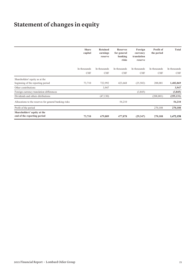## <span id="page-20-0"></span>**Statement of changes in equity**

|                                                                     | <b>Share</b><br>capital    | <b>Retained</b><br>earnings<br>reserve | <b>Reserves</b><br>for general<br>banking<br>risks | Foreign<br>currency<br>translation<br>reserve | <b>Profit of</b><br>the period | <b>Total</b>               |
|---------------------------------------------------------------------|----------------------------|----------------------------------------|----------------------------------------------------|-----------------------------------------------|--------------------------------|----------------------------|
|                                                                     | In thousands<br><b>CHF</b> | In thousands<br>CHF                    | In thousands<br><b>CHF</b>                         | In thousands<br><b>CHF</b>                    | In thousands<br>CHF            | In thousands<br><b>CHF</b> |
| Shareholders' equity as at the<br>beginning of the reporting period | 73,710                     | 722,992                                | 423,668                                            | (25,502)                                      | 208,001                        | 1,402,869                  |
| Other contributions                                                 |                            | 3,947                                  |                                                    |                                               |                                | 3,947                      |
| Foreign currency translation differences                            |                            |                                        |                                                    | (3,845)                                       |                                | (3,845)                    |
| Dividends and others ditributions                                   |                            | (47, 130)                              |                                                    |                                               | (208, 001)                     | (255, 131)                 |
| Allocations to the reserves for general banking risks               |                            |                                        | 54,210                                             |                                               |                                | 54,210                     |
| Profit of the period                                                |                            |                                        |                                                    |                                               | 270,108                        | 270,108                    |
| Shareholders' equity at the<br>end of the reporting period          | 73,710                     | 679,809                                | 477,878                                            | (29, 347)                                     | 270,108                        | 1,472,158                  |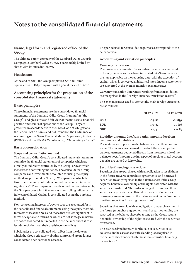## <span id="page-21-0"></span>**Notes to the consolidated financial statements**

### **Name, legal form and registered office of the Group**

The ultimate parent company of the Lombard Odier Group is Compagnie Lombard Odier SCmA, a partnership limited by shares with its office in Geneva.

### **Headcount**

At the end of 2021, the Group employed 2,616 full-time equivalents (FTEs), compared with 2,506 at the end of 2020.

### **Accounting principles for the preparation of the consolidated financial statements**

### **Basic principles**

These financial statements are the consolidated financial statements of the Lombard Odier Group (hereinafter "the Group") and give a true and fair view of the net assets, financial position and results of operations of the Group. They are presented in accordance with the Swiss Code of Obligations, the Federal Act on Banks and its Ordinance, the Ordinance on Accounting of the Swiss Financial Market Supervisory Authority (FINMA) and the FINMA Circular 2020/1 "Accounting – Banks".

### **Basis of consolidation**

### **Scope and consolidation method**

The Lombard Odier Group's consolidated financial statements comprise the financial statements of companies which are directly or indirectly controlled by the Group, or over which it exercises a controlling influence. The consolidated Group companies and investments accounted for using the equity method are presented in Note 1.7 "Companies in which the Group permanently holds direct or indirect equity interest of significance". The companies directly or indirectly controlled by the Group or over which it exercises a controlling influence are fully consolidated. Capital is consolidated using the purchase method.

Non-controlling interests of 20% to 50% are accounted for in the consolidated financial statements using the equity method. Interests of less than 20% and those that are less significant in terms of capital and returns or which are not strategic in nature are not consolidated, but reported in the balance sheet at cost less depreciation over their useful economic lives.

Subsidiaries are consolidated with effect from the date on which the Group effectively obtains control and are no longer consolidated once control has ceased.

The period used for consolidation purposes corresponds to the calendar year.

### **Accounting and valuation principles**

### **Currency translation**

The financial statements of consolidated companies prepared in foreign currencies have been translated into Swiss francs at the rate applicable on the reporting date, with the exception of capital, which is converted at historical rates. Income statements are converted at the average monthly exchange rates.

Currency translation differences resulting from consolidation are recognised in the "Foreign currency translation reserve".

The exchange rates used to convert the main foreign currencies are as follows:

|            | 31.12.2021 | 31.12.2020 |
|------------|------------|------------|
| <b>USD</b> | 0.9112     | 0.8839     |
| EUR        | 1.0362     | 1.0816     |
| GBP        | 1.2341     | 1.2083     |

### **Liquidity, amounts due from banks, amounts due from customers and liabilities**

These items are reported in the balance sheet at their nominal value. The receivables deemed to be doubtful are subject to value adjustments deducted directly from the assets side of the balance sheet. Amounts due in respect of precious metal account deposits are valued at faire value.

### **Securities financing transactions**

Securities that are purchased with an obligation to resell them in the future (reverse repurchase agreements) and borrowed securities are only reported in the balance sheet if the Group acquires beneficial ownership of the rights associated with the securities transferred. The cash exchanged to purchase these securities or provided as collateral in the case of securities borrowing are recognised in the balance sheet under "Amounts due from securities financing transactions".

Securities that are sold with an obligation to repurchase them in the future (repurchase agreements) and securities lending are reported in the balance sheet for as long as the Group retains beneficial ownership of the rights associated with the securities transferred.

The cash received in return for the sale of securities or as collateral in the case of securities lending is recognised in the balance sheet under "Liabilities from securities financing transactions".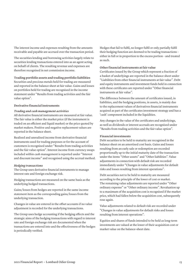The interest income and expenses resulting from the amounts receivable and payable are accrued over the transaction period.

The securities lending and borrowing activities largely relate to securities lending transactions entered into as an agent acting on behalf of clients. The resulting revenue and expenses are therefore recognised in net commission income.

### **Trading portfolio assets and trading portfolio liabilities**

Securities and precious metals held for trading are measured and reported in the balance sheet at fair value. Gains and losses on portfolios held for trading are recognised in the income statement under "Results from trading activities and the fair value option".

### **Derivative financial instruments**

### *Trading and cash management activities*

All derivative financial instruments are measured at fair value. The fair value is either the market price (if the instrument is traded on an efficient and liquid market) or the price quoted by market makers. Positive and negative replacement values are reported in the balance sheet.

Realised and unrealised income from derivative financial instruments used for trading purposes or for the account of customers is recognised under "Results from trading activities and the fair value option". Interest income from currency swaps included within cash management is reported under "Interest and discount income" and recognised using the accrual method.

#### *Hedging transactions*

The Group uses derivative financial instruments to manage interest rate and foreign exchange risk.

Hedging transactions are measured on the same basis as the underlying hedged transactions.

Gains/losses from hedges are reported in the same income statement item as the corresponding gains/losses from the underlying transaction.

Changes in value are entered in the offset accounts if no value adjustment is recorded for the underlying transactions.

The Group uses hedge accounting if the hedging effects and the strategic aims of the hedging transactions with regard to interest rate and foreign exchange risk are documented when the transactions are entered into and the effectiveness of the hedges is periodically verified.

Hedges that fail to fulfil, no longer fulfil or only partially fulfil their hedging function are deemed to be trading transactions – either in full or in proportion to the excess portion – and treated as such.

### **Other financial instruments at fair value**

Certificates issued by the Group which represent a fraction of a basket of underlyings are reported in the balance sheet under "Liabilities from other financial instruments at fair value". Debt and equity instruments and investment funds held in connection with these certificates are reported under "Other financial instruments at fair value".

The difference between the amount of certificates issued, in liabilities, and the hedging positions, in assets, is mainly due to the replacement values of derivatives financial instruments acquired as part of the certificates investment strategy and has a 'cash' component included in the liquidities.

Any changes in the value of the certificates and underlyings, as well as dividends or interest accruals are recognised under "Results from trading activities and the fair value option".

### **Financial investments**

Debt securities to be held to maturity are recognised in the balance sheet on an amortised cost basis. Gains and losses resulting from an early sale or redemption are recorded proportionally up to the initial maturity date of the transaction under the items "Other assets" and "Other liabilities". Value adjustments in connection with default risk are recorded immediately under "Changes in value adjustments for default risks and losses resulting from interest operations".

Debt securities not to be held to maturity are measured according to the principle of the lower of cost or market. The remaining value adjustments are reported under "Other ordinary expense" or "Other ordinary income". Revaluation up to a maximum of the acquisition cost is recognised if the market price, which had fallen below the acquisition cost, subsequently rose again.

Value adjustments related to default risk are recorded under "Changes in value adjustments for default risks and losses resulting from interest operations".

Equities and shares of funds intended to be held as long-term investments are valued at the lower of their acquisition cost or market value on the balance-sheet date.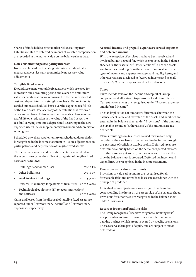Shares of funds held to cover market risks resulting from liabilities related to deferred payments of variable compensation are recorded at the market value on the balance-sheet date.

### **Non-consolidated participating interests**

Non-consolidated participating interests are individually measured at cost less any economically necessary value adjustments.

### **Tangible fixed assets**

Expenditure on new tangible fixed assets which are used for more than one accounting period and exceed the minimum value for capitalisation are recognised in the balance sheet at cost and depreciated on a straight-line basis. Depreciation is carried out on a scheduled basis over the expected useful life of the fixed asset. The accuracy of the valuations is reviewed on an annual basis. If this assessment reveals a change in the useful life or a reduction in the value of the fixed asset, the residual carrying amount is depreciated according to the new expected useful life or supplementary unscheduled depreciation is recognised.

Scheduled as well as supplementary unscheduled depreciation is recognised in the income statement in "Value adjustments on participations and depreciation of tangible fixed assets".

The depreciation rates and periods expected and applied to the acquisition cost of the different categories of tangible fixed assets are as follows:

| Buildings used for own use: | $1\%$ to 5% |
|-----------------------------|-------------|
| • Other buildings:          | $2\%$ to 5% |

- Work to fit-out buildings: up to 5 years
- Fixtures, machinery, large items of furniture: up to 5 years
- Technological equipment (IT, telecommunications) and software:  $up to 3 years$

Gains and losses from the disposal of tangible fixed assets are reported under "Extraordinary income" and "Extraordinary expenses", respectively.

### **Accrued income and prepaid expenses/accrued expenses and deferred income**

With the exception of services that have been received and invoiced but not yet paid for, which are reported in the balance sheet as "Other assets" or "Other liabilities", all of the assets and liabilities resulting from the accrual of interest and other types of income and expenses on asset and liability items, and other accruals are disclosed in "Accrued income and prepaid expenses"/"Accrued expenses and deferred income".

### **Taxes**

Taxes include taxes on the income and capital of Group companies and allocations to provisions for deferred taxes. Current income taxes are recognised under "Accrued expenses and deferred income".

The tax implications of temporary differences between the balance sheet value and tax value of the assets and liabilities are entered in the balance sheet under "Provisions", if the amounts are taxable, or under "Other assets", if the amounts are tax deductible.

Claims resulting from tax losses carried forward are only recorded if they are likely to be realised in the future through the existence of sufficient taxable profits. Deferred taxes are determined annually based on the actually expected tax rates or, if these are not yet known, on the tax rates in force at the time the balance sheet is prepared. Deferred tax income and expenditure are recognised in the income statement.

### **Provisions and value adjustments**

Provisions or value adjustments are recognised for all foreseeable risks and unrealised losses in accordance with the principle of prudence.

Individual value adjustments are charged directly to the corresponding line items on the assets side of the balance sheet. Provisions for other risks are recognised in the balance sheet under "Provisions".

### **Reserves for general banking risks**

The Group recognises "Reserves for general banking risks" as a preventive measure to cover the risks inherent in the banking business which are not covered by specific provisions. These reserves form part of equity and are subject to tax or deferred tax.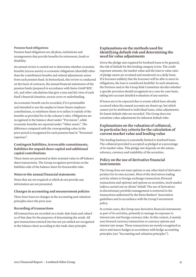### **Pension fund obligations**

Pension fund obligations are all plans, institutions and arrangements that provide benefits for retirement, death or disability.

An annual review is carried out to determine whether economic benefits (excess assets) or economic obligations (shortfall) other than the contribution benefits and related adjustments arises from each pension fund. In Switzerland, this review is conducted on the basis of contracts, the annual financial statements of the pension funds (prepared in accordance with Swiss GAAP RPC 26), and other calculations that give a true and fair view of each fund's financial situation, excess cover or underfunding.

An economic benefit can be recorded, if it is permissible and intended to use the surplus to lower future employer contributions, to reimburse them or to utilise it outside of the benefits as provided for in the scheme's rules. Obligations are recognised in the balance sheet under "Provisions", while economic benefits are reported under "Other assets". The difference compared with the corresponding value in the prior period is recognised for each pension fund in "Personnel expenses".

### **Contingent liabilities, irrevocable commitments, liabilities for unpaid share capital and additional capital contributions**

These items are presented at their nominal value in off-balance sheet transactions. The Group recognises provisions on the liabilities side of the balance sheet for foreseeable risks.

### **Notes to the annual financial statements**

Notes that are not required or which do not provide any information are not presented.

### **Changes in accounting and measurement policies**

There have been no changes in the accounting and valuation principles since the prior year.

### **Recording of transactions**

All transactions are recorded on a trade-date basis and valued as of that date for the purposes of determining the result. All spot transactions entered into but not yet settled are recognised in the balance sheet according to the trade-date principle.

### **Explanations on the methods used for identifying default risk and determining the need for value adjustments**

Given the pledge rate required for lombard loans to be granted, the risk of default for this lending category is low. The credit exposure amount, the market value and the loan to value ratio of pledge assets are revalued and monitored on a daily basis. If it becomes unlikely that the borrower will be able to meet its obligations, the loan is considered doubtful. In such situations, the Partners and/or the Group Risk Committee decides whether a specific provision should recognised on a case-by-case basis, taking into account detailed evaluation of any sureties.

If losses are to be expected due to events which have already occurred when the annual accounts are drawn up, but which cannot yet be attributed to individual loans, value adjustments for latent default risks are recorded. The Group does not constitute value adjustments for inherent default risks.

### **Explanations on the valuation of collateral, in particular key criteria for the calculation of current market value and lending value**

The lending business is essentially limited to lombard loans. The collateral provided is accepted as pledged at a percentage of its market value. This pledge rate depends on the nature, solvency, currency and tradability of the securities.

### **Policy on the use of derivative financial instruments**

The Group does not issue options or any other kind of derivative product for its own account. Most of the derivatives trading activity relates to foreign exchange transactions (forward transactions and options) and options on securities, stock market indices carried out on clients' behalf. The use of derivatives in discretionary portfolio management is restricted to the transactions authorised by the Swiss Bankers' Association guidelines and in accordance with the Group's investment policy.

In certain cases, the Group uses derivative financial instruments as part of its activities, primarily to manage its exposure to interest rate and foreign currency risks. In this context, it mainly uses forward currency transactions or currency options and interest rate swaps. These transactions are mostly recognised as micro and macro hedges in accordance with hedge accounting principles (see "Accounting and valuation principles").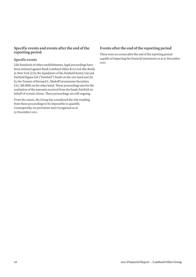### **Specific events and events after the end of the reporting period**

### **Specific events**

Like hundreds of other establishments, legal proceedings have been initiated against Bank Lombard Odier & Co Ltd (the Bank) in New York (i) by the liquidators of the Fairfield Sentry Ltd and Fairfield Sigma Ltd ("Fairfield") funds on the one hand and (ii) by the Trustee of Bernard L. Madoff investments Securities LLC (BLMIS) on the other hand. These proceedings aim for the restitution of the amounts received from the funds Fairfield on behalf of certain clients. These proceedings are still ongoing.

From the outset, the Group has considered the risk resulting from these proceedings to be impossible to quantify. Consequently, no provisions were recognised as at 31 December 2021.

### **Events after the end of the reporting period**

There were no events after the end of the reporting period capable of impacting the financial statements as at 31 December 2021.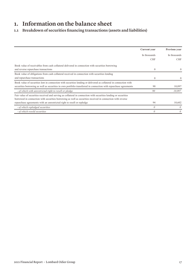## **1. Information on the balance sheet**

**1.1 Breakdown of securities financing transactions (assets and liabilities)**

|                                                                                                                   | <b>Current</b> year | Previous year  |
|-------------------------------------------------------------------------------------------------------------------|---------------------|----------------|
|                                                                                                                   | In thousands        | In thousands   |
|                                                                                                                   | <b>CHF</b>          | <b>CHF</b>     |
| Book value of receivables from cash collateral delivered in connection with securities borrowing                  |                     |                |
| and reverse repurchase transactions                                                                               | $\theta$            | $\overline{0}$ |
| Book value of obligations from cash collateral received in connection with securities lending                     |                     |                |
| and repurchase transactions                                                                                       | $\theta$            | 0              |
| Book value of securities lent in connection with securities lending or delivered as collateral in connection with |                     |                |
| securities borrowing as well as securities in own portfolio transferred in connection with repurchase agreements  | 90                  | 10,097         |
| - of which with unrestricted right to resell or pledge                                                            | 90                  | 10.097         |
| Fair value of securities received and serving as collateral in connection with securities lending or securities   |                     |                |
| borrowed in connection with securities borrowing as well as securities received in connection with reverse        |                     |                |
| repurchase agreements with an unrestricted right to resell or repledge                                            | 94                  | 10,602         |
| - of which repledged securities                                                                                   | $\theta$            | 0              |
| - of which resold securities                                                                                      | $\theta$            | 0              |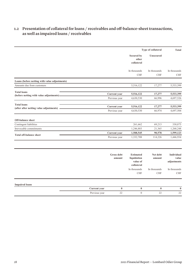## **1.2 Presentation of collateral for loans / receivables and off-balance-sheet transactions, as well as impaired loans / receivables**

|                                               |                     |                      | Type of collateral                                        | <b>Total</b>               |                                           |
|-----------------------------------------------|---------------------|----------------------|-----------------------------------------------------------|----------------------------|-------------------------------------------|
|                                               |                     |                      | Secured by<br>other<br>collateral                         | <b>Unsecured</b>           |                                           |
|                                               |                     |                      | In thousands                                              | In thousands               | In thousands                              |
|                                               |                     |                      | $\mbox{CHF}$                                              | $\mbox{CHF}$               | <b>CHF</b>                                |
| Loans (before netting with value adjustments) |                     |                      |                                                           |                            |                                           |
| Amounts due from customers                    |                     |                      | 5,516,122                                                 | 17,277                     | 5,533,399                                 |
| <b>Total loans</b>                            |                     | Current year         | 5,516,122                                                 | 17,277                     | 5,533,399                                 |
| (before netting with value adjustments) -     |                     | Previous year        | 4,630,530                                                 | 66,996                     | 4,697,526                                 |
| <b>Total loans</b>                            |                     | Current year         | 5,516,122                                                 | 17,277                     | 5,533,399                                 |
| (after after netting value adjustments) -     |                     | Previous year        | 4,630,530                                                 | 66,974                     | 4,697,504                                 |
| Off-balance sheet                             |                     |                      |                                                           |                            |                                           |
| Contingent liabilities                        |                     |                      | 261,662                                                   | 69,213                     | 330,875                                   |
| Irrevocable commitments                       |                     |                      | 1,246,883                                                 | 21,365                     | 1,268,248                                 |
| <b>Total off-balance sheet</b>                |                     | Current year         | 1,508,545                                                 | 90,578                     | 1,599,123                                 |
|                                               |                     | Previous year        | 1,332,708                                                 | 114,226                    | 1,446,934                                 |
|                                               |                     | Gross debt<br>amount | <b>Estimated</b><br>liquidation<br>value of<br>collateral | Net debt<br>amount         | <b>Individual</b><br>value<br>adjustments |
|                                               |                     |                      | In thousands<br><b>CHF</b>                                | In thousands<br><b>CHF</b> | In thousands<br><b>CHF</b>                |
| <b>Impaired loans</b>                         |                     |                      |                                                           |                            |                                           |
|                                               | <b>Current</b> year | $\bf{0}$             | $\pmb{0}$                                                 | $\pmb{0}$                  | $\pmb{0}$                                 |
|                                               | Previous year       | 22                   | $\boldsymbol{0}$                                          | 22                         | 22                                        |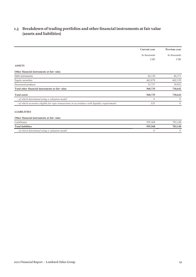## **1.3 Breakdown of trading portfolios and other financial instruments at fair value (assets and liabilities)**

|                                                                                                | <b>Current</b> year | Previous year |
|------------------------------------------------------------------------------------------------|---------------------|---------------|
|                                                                                                | In thousands        | In thousands  |
|                                                                                                | <b>CHF</b>          | <b>CHF</b>    |
| <b>ASSETS</b>                                                                                  |                     |               |
| Other financial instruments at fair value                                                      |                     |               |
| Debt instruments                                                                               | 64,120              | 86,371        |
| Equity securities                                                                              | 462,878             | 602,339       |
| Structured products                                                                            | 33,737              | 29,932        |
| Total other financial instruments at fair value                                                | 560,735             | 718,642       |
| <b>Total assets</b>                                                                            | 560,735             | 718,642       |
| - of which determined using a valuation model                                                  | $\theta$            | $\theta$      |
| - of which securities eligible for repo transactions in accordance with liquidity requirements | 320                 | $\theta$      |
| <b>LIABILITIES</b>                                                                             |                     |               |
| Other financial instruments at fair value                                                      |                     |               |

| Certificates                                  | 595.568 | 783.140 |
|-----------------------------------------------|---------|---------|
| <b>Total liabilities</b>                      | 595.568 | 783,140 |
| - of which determined using a valuation model |         |         |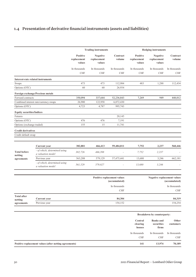## **1.4 Presentation of derivative financial instruments (assets and liabilities)**

|                                  |                                                        |                                          | <b>Trading instruments</b>               |                                                     |                                          | <b>Hedging instruments</b>               |                              |
|----------------------------------|--------------------------------------------------------|------------------------------------------|------------------------------------------|-----------------------------------------------------|------------------------------------------|------------------------------------------|------------------------------|
|                                  |                                                        | <b>Positive</b><br>replacement<br>values | <b>Negative</b><br>replacement<br>values | Contract<br>volume                                  | <b>Positive</b><br>replacement<br>values | <b>Negative</b><br>replacement<br>values | Contract<br>volume           |
|                                  |                                                        | In thousands                             | In thousands                             | In thousands                                        | In thousands                             | In thousands                             | In thousands                 |
|                                  |                                                        | <b>CHF</b>                               | <b>CHF</b>                               | <b>CHF</b>                                          | <b>CHF</b>                               | <b>CHF</b>                               | <b>CHF</b>                   |
|                                  | <b>Interest-rate related instruments</b>               |                                          |                                          |                                                     |                                          |                                          |                              |
| Swaps                            |                                                        | 473                                      | 473                                      | 112,984                                             | 483                                      | 1,288                                    | 112,434                      |
| Options (OTC)                    |                                                        | 60                                       | 60                                       | 26,934                                              |                                          |                                          |                              |
|                                  | Foreign exchange/Precious metals                       |                                          |                                          |                                                     |                                          |                                          |                              |
| Forward contracts                |                                                        | 350,094                                  | 337,644                                  | 52,236,843                                          | 7,269                                    | 949                                      | 448,012                      |
|                                  | Combined interest rate/currency swaps                  | 26,900                                   | 122,958                                  | 6,072,430                                           |                                          |                                          |                              |
| Options (OTC)                    |                                                        | 4,723                                    | 4,787                                    | 995,743                                             |                                          |                                          |                              |
| <b>Equity securities/Indices</b> |                                                        |                                          |                                          |                                                     |                                          |                                          |                              |
| Futures                          |                                                        |                                          |                                          | 20,145                                              |                                          |                                          |                              |
| Options (OTC)                    |                                                        | 476                                      | 476                                      | 7,191                                               |                                          |                                          |                              |
| Options (exchange traded)        |                                                        | 155                                      | 15                                       | 11,741                                              |                                          |                                          |                              |
| <b>Credit derivatives</b>        |                                                        |                                          |                                          |                                                     |                                          |                                          |                              |
| Credit default swap              |                                                        |                                          |                                          |                                                     |                                          |                                          |                              |
|                                  |                                                        |                                          |                                          |                                                     |                                          |                                          |                              |
|                                  | Current year                                           | 382,881                                  | 466,413                                  | 59,484,011                                          | 7,752                                    | 2,237                                    | 560,446                      |
| <b>Total before</b><br>netting   | - of which, determined using<br>a valuation model      | 382,726                                  | 466,398                                  |                                                     | 7,752                                    | 2,237                                    |                              |
| agreements                       | Previous year                                          | 563,208                                  | 579,129                                  | 57,475,441                                          | 13,680                                   | 3,246                                    | 662,181                      |
|                                  | - of which, determined using<br>a valuation model      | 561,529                                  | 579,027                                  |                                                     | 13,680                                   | 3,246                                    |                              |
|                                  |                                                        |                                          |                                          | <b>Positive replacement values</b><br>(accumulated) |                                          | <b>Negative replacement values</b>       | (accumulated)                |
|                                  |                                                        |                                          |                                          |                                                     |                                          |                                          |                              |
|                                  |                                                        |                                          |                                          | In thousands<br><b>CHF</b>                          |                                          |                                          | In thousands<br><b>CHF</b>   |
|                                  |                                                        |                                          |                                          |                                                     |                                          |                                          |                              |
| <b>Total after</b><br>netting    | <b>Current</b> year                                    |                                          |                                          | 84,304                                              |                                          |                                          | 84,319                       |
| agreements                       | Previous year                                          |                                          |                                          | 154,152                                             |                                          |                                          | 154,254                      |
|                                  |                                                        |                                          |                                          |                                                     |                                          |                                          |                              |
|                                  |                                                        |                                          |                                          |                                                     |                                          | Breakdown by counterparty:               |                              |
|                                  |                                                        |                                          |                                          |                                                     | Central<br>clearing<br>houses            | <b>Banks</b> and<br>securities<br>firms  | Other<br>customers           |
|                                  |                                                        |                                          |                                          |                                                     | In thousands<br><b>CHF</b>               | In thousands<br><b>CHF</b>               | In thousands<br>$\mbox{CHF}$ |
|                                  | Positive replacement values (after netting agreements) |                                          |                                          |                                                     | 141                                      | 13,974                                   | 70,189                       |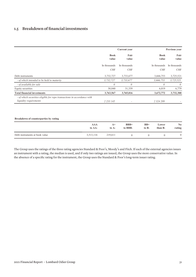## **1.5 Breakdown of financial investments**

|                                                                                                   | <b>Current</b> year  |                   |                                    | Previous year                    |
|---------------------------------------------------------------------------------------------------|----------------------|-------------------|------------------------------------|----------------------------------|
|                                                                                                   | <b>Book</b><br>value | Fair<br>value     | <b>Book</b><br>value               | Fair<br>value                    |
|                                                                                                   | In thousands         | In thousands      | In thousands                       | In thousands                     |
|                                                                                                   | CHF                  | <b>CHF</b>        | <b>CHF</b>                         | CHF                              |
| Debt instruments                                                                                  | 3,732,727            | 3,733,677         | 3,666,753                          | 3,725,521                        |
| - of which intended to be held to maturity                                                        | 3,732,727            | 3,733,677         | 3,666,753                          | 3,725,521                        |
| - of available for sale                                                                           | $\theta$             | $\theta$          | $\theta$                           | 0                                |
| Equity securities                                                                                 | 30,840               | 31,339            | 6,019                              | 6,779                            |
| <b>Total financial investments</b>                                                                | 3,763,567            | 3,765,016         | 3,672,772                          | 3,732,300                        |
| - of which securities eligible for repo transactions in accordance with<br>liquidity requirements | 2 2 3 3 1 4 5        | ٠                 | 2 3 2 4 2 0 9                      |                                  |
| Breakdown of counterparties by rating<br><b>AAA</b><br>to AA-                                     | $A+$<br>to A-        | $BBB+$<br>to BBB- | $BB+$<br>Lower<br>to B-<br>than B- | $\mathbf{N}\mathbf{0}$<br>rating |

| The Group uses the ratings of the three rating agencies Standard & Poor's, Moody's and Fitch. If each of the external agencies issues |
|---------------------------------------------------------------------------------------------------------------------------------------|
| an instrument with a rating, the median is used, and if only two ratings are issued, the Group uses the more conservative value. In   |

Debt instruments at book value 3,513,116 219,611 0 0 0 0

the absence of a specific rating for the instrument, the Group uses the Standard & Poor's long-term issuer rating.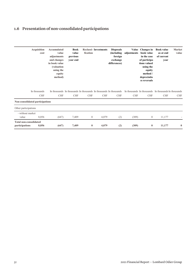## **1.6 Presentation of non-consolidated participations**

|                                                 | <b>Acquisition</b><br>cost | Accumulated<br>value<br>adjustments<br>and changes<br>in book value<br><i>(valuation)</i><br>using the<br>equity<br>method) | <b>Book</b><br>value<br>previous<br>year end                     | fication       | <b>Reclassi-Investments</b> | <b>Disposals</b><br>(including<br>foreign<br>exchange<br>differences) | adjustments | Value Changes in<br>book value<br>in the case<br>of participa-<br>tions valued<br>using the<br>equity<br>method /<br>depreciatio<br>n reversals | <b>Book value</b><br>as at end<br>of current<br>year | <b>Market</b><br>value |
|-------------------------------------------------|----------------------------|-----------------------------------------------------------------------------------------------------------------------------|------------------------------------------------------------------|----------------|-----------------------------|-----------------------------------------------------------------------|-------------|-------------------------------------------------------------------------------------------------------------------------------------------------|------------------------------------------------------|------------------------|
|                                                 | In thousands               |                                                                                                                             | In thousands In thousands In thousands In thousands In thousands |                |                             |                                                                       |             |                                                                                                                                                 | In thousands In thousands In thousands In thousands  |                        |
|                                                 | <b>CHF</b>                 | CHF                                                                                                                         | <b>CHF</b>                                                       | <b>CHF</b>     | <b>CHF</b>                  | <b>CHF</b>                                                            | CHF         | <b>CHF</b>                                                                                                                                      | <b>CHF</b>                                           | <b>CHF</b>             |
| Non-consolidated participations                 |                            |                                                                                                                             |                                                                  |                |                             |                                                                       |             |                                                                                                                                                 |                                                      |                        |
| Other participations                            |                            |                                                                                                                             |                                                                  |                |                             |                                                                       |             |                                                                                                                                                 |                                                      |                        |
| - without market<br>value                       | 8,056                      | (647)                                                                                                                       | 7,409                                                            | $\overline{0}$ | 4,079                       | (2)                                                                   | (309)       | $\mathbf{0}$                                                                                                                                    | 11,177                                               |                        |
| <b>Total non-consolidated</b><br>participations | 8,056                      | (647)                                                                                                                       | 7,409                                                            | $\bf{0}$       | 4,079                       | (2)                                                                   | (309)       | $\bf{0}$                                                                                                                                        | 11,177                                               | $\bf{0}$               |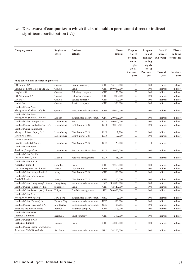## **1.7 Disclosure of companies in which the bank holds a permanent direct or indirect significant participation (1/2)**

| Company name                                      | <b>Registered</b><br>office | <b>Business</b><br>activity |            | <b>Share</b><br>capital | Propor-<br>tion of<br>holding/<br>voting<br>rights<br>$(in \%)$ | Propor-<br>tion of<br>holding/<br>voting<br>rights<br>$(in \%)$ | Direct/<br>indirect<br>ownership | Direct/<br>indirect<br>ownership |
|---------------------------------------------------|-----------------------------|-----------------------------|------------|-------------------------|-----------------------------------------------------------------|-----------------------------------------------------------------|----------------------------------|----------------------------------|
|                                                   |                             |                             |            |                         | Current<br>year                                                 | <b>Previous</b><br>year                                         | Current<br>year                  | <b>Previous</b><br>year          |
| <b>Fully consolidated participating interests</b> |                             |                             |            |                         |                                                                 |                                                                 |                                  |                                  |
| LO Holding SA                                     | Geneva                      | Holding company             | <b>CHF</b> | 34,110,000              | 100                                                             | 100                                                             | direct                           | direct                           |
| Banque Lombard Odier & Cie SA                     | Geneva                      | Bank                        | <b>CHF</b> | 100,000,000             | 100                                                             | 100                                                             | indirect                         | indirect                         |
| Lasphère SA                                       | Geneva                      | Fiduciary company           | <b>CHF</b> | 250,000                 | 100                                                             | 100                                                             | indirect                         | indirect                         |
| LO Patrimonia SA                                  | Geneva                      | Fiduciary company           | <b>CHF</b> | 1,000,000               | 100                                                             | 100                                                             | indirect                         | indirect                         |
| LO IP SA                                          | Geneva                      | Service company             | <b>CHF</b> | 700,000                 | 100                                                             | 100                                                             | indirect                         | indirect                         |
| Lodati SA                                         | Geneva                      | Service company             | <b>CHF</b> | 300,000                 | 100                                                             | 100                                                             | indirect                         | indirect                         |
| Lombard Odier Asset                               |                             |                             |            |                         |                                                                 |                                                                 |                                  |                                  |
| Management (Switzerland) SA                       | Geneva                      | Investment advisory comp.   | <b>CHF</b> | 26,000,000              | 100                                                             | 100                                                             | indirect                         | indirect                         |
| Lombard Odier Asset                               |                             |                             |            |                         |                                                                 |                                                                 |                                  |                                  |
| Management (Europe) Limited                       | London                      | Investment advisory comp.   | <b>GBP</b> | 20,000,000              | 100                                                             | 100                                                             | indirect                         | indirect                         |
| Lombard Odier (Europe) S.A.                       | Luxembourg                  | Bank                        | <b>EUR</b> | 40,000,000              | 100                                                             | 100                                                             | indirect                         | indirect                         |
| Lombard Odier Funds (Europe) S.A.                 | Luxembourg                  | Distributor of CIS          | <b>EUR</b> | 2,810,205               | 100                                                             | 100                                                             | indirect                         | indirect                         |
| Lombard Odier Investment                          |                             |                             |            |                         |                                                                 |                                                                 |                                  |                                  |
| Managers Private Equity Sàrl                      | Luxembourg                  | Distributor of CIS          | <b>EUR</b> | 12,500                  | 100                                                             | 100                                                             | indirect                         | indirect                         |
| <b>LOIM PE Capital</b>                            | Luxembourg                  | Distributor of CIS          | <b>EUR</b> | 12,000                  | 100                                                             | 100                                                             | indirect                         | indirect                         |
| <b>LOIM</b> Sustainable                           |                             |                             |            |                         |                                                                 |                                                                 |                                  |                                  |
| Private Credit GP S.à.r.l.                        | Luxembourg                  | Distributor of CIS          | <b>USD</b> | 20,000                  | 100                                                             | $\boldsymbol{0}$                                                | indirect                         |                                  |
| Lombard Odier T&O                                 |                             |                             |            |                         |                                                                 |                                                                 |                                  |                                  |
| Services (Europe) S.A.                            | Luxembourg                  | Banking and IT services     | <b>EUR</b> | 5,000,000               | 100                                                             | 100                                                             | indirect                         | indirect                         |
| Lombard Odier Gestión                             |                             |                             |            |                         |                                                                 |                                                                 |                                  |                                  |
| (España), SGIIC, S.A.                             | Madrid                      | Portfolio management        | <b>EUR</b> | 1,188,000               | 100                                                             | 100                                                             | indirect                         | indirect                         |
| Lombard Odier & Cie<br>(Gibraltar) Limited        |                             |                             |            |                         |                                                                 |                                                                 |                                  |                                  |
|                                                   | Gibraltar                   | Bank<br>Distributor of CIS  | <b>CHF</b> | 2,260,000               | 100                                                             | 100                                                             | indirect                         | indirect                         |
| LO Delta Explorer GP Limited                      | Jersey                      |                             | <b>CHF</b> | 100,000                 | 100<br>100                                                      | 100<br>100                                                      | indirect<br>indirect             | indirect<br>indirect             |
| Lombard Odier (Jersey) Limited                    | Jersey                      | Distributor of CIS          | <b>CHF</b> | 500,000                 |                                                                 |                                                                 |                                  |                                  |
| Lombard Odier Infrastructure<br>Fund GP Limited   | Jersey                      | Distributor of CIS          | <b>CHF</b> | 100,000                 | 100                                                             | 100                                                             | indirect                         | indirect                         |
| Lombard Odier (Hong Kong) Limited                 | Hong Kong                   | Investment advisory comp.   | <b>HKD</b> | 805,000,000             | 100                                                             | 100                                                             | indirect                         | indirect                         |
| Lombard Odier (Singapore) Ltd.                    | Singapore                   | Bank                        | <b>CHF</b> | 42,647,000              | 100                                                             | 100                                                             | indirect                         | indirect                         |
| Lombard Odier Trust (Japan) Limited               | Tokyo                       | Portfolio management        | JPY        | 300,000,000             | 100                                                             | 100                                                             | indirect                         | indirect                         |
| Lombard Odier Asset                               |                             |                             |            |                         |                                                                 |                                                                 |                                  |                                  |
| Management (USA) Corp.                            | New York                    | Investment advisory comp.   | <b>USD</b> | 2,000                   | 100                                                             | 100                                                             | indirect                         | indirect                         |
| Lombard Odier (Panama), Inc.                      | Panama City                 | Investment advisory comp.   | <b>USD</b> | 500,000                 | 100                                                             | 100                                                             | indirect                         | indirect                         |
| Lombard Odier (Uruguay) S.A.                      | Montevideo                  | Investment advisory comp.   | <b>USD</b> | 103,986                 | 100                                                             | 100                                                             | indirect                         | indirect                         |
| Bershield Insurance Limited                       | Bermuda                     | Insurance company           | <b>CHF</b> | 216,000                 | 100                                                             | 100                                                             | indirect                         | indirect                         |
| Lombard Odier Trust                               |                             |                             |            |                         |                                                                 |                                                                 |                                  |                                  |
| (Bermuda) Limited                                 | Bermuda                     | Trust company               | <b>CHF</b> | 1,350,000               | 100                                                             | 100                                                             | indirect                         | indirect                         |
| Lombard Odier & Cie                               |                             |                             |            |                         |                                                                 |                                                                 |                                  |                                  |
| (Bahamas) Limited                                 | Nassau                      | Bank                        | <b>CHF</b> | 4,000,000               | 100                                                             | 100                                                             | indirect                         | indirect                         |
| Lombard Odier (Brasil) Consultoria                |                             |                             |            |                         |                                                                 |                                                                 |                                  |                                  |
| de Valores Mobiliários Ltda.                      | Sao Paulo                   | Investment advisory comp.   | BRL        | 24,200,000              | 100                                                             | 100                                                             | indirect                         | indirect                         |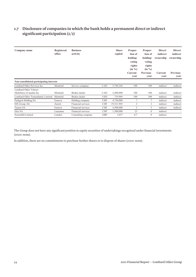## **1.7 Disclosure of companies in which the bank holds a permanent direct or indirect significant participation (2/2)**

| Company name                             | <b>Registered</b><br>office | <b>Business</b><br>activity |            | <b>Share</b><br>capital | Propor-<br>tion of<br>holding/<br>voting<br>rights<br>$(in \%)$<br>Current<br>year | Propor-<br>tion of<br>holding/<br>voting<br>rights<br>$(in \frac{9}{6})$<br><b>Previous</b><br>year | Direct/<br>indirect<br>ownership<br><b>Current</b><br>year | Direct/<br>indirect<br>ownership<br><b>Previous</b><br>year |
|------------------------------------------|-----------------------------|-----------------------------|------------|-------------------------|------------------------------------------------------------------------------------|-----------------------------------------------------------------------------------------------------|------------------------------------------------------------|-------------------------------------------------------------|
| Non-consolidated participating interests |                             |                             |            |                         |                                                                                    |                                                                                                     |                                                            |                                                             |
| Lombard Odier Services Inc.              | Montréal                    | Service company             | CAD        | 5,749,244               | 100                                                                                | 100                                                                                                 | indirect                                                   | indirect                                                    |
| Lombard Odier Valeurs                    |                             |                             |            |                         |                                                                                    |                                                                                                     |                                                            |                                                             |
| Mobilières (Canada) Inc                  | Montréal                    | Broker dealer               | CAD        | 2,400,000               | 100                                                                                | 100                                                                                                 | indirect                                                   | indirect                                                    |
| Lombard Odier Transatlantic Limited      | Montréal                    | Broker dealer               | <b>USD</b> | 719,969                 | 100                                                                                | 100                                                                                                 | indirect                                                   | indirect                                                    |
| Parkgest Holding SA                      | Geneva                      | Holding company             | <b>CHF</b> | 4,750,000               | 7                                                                                  | $\tau$                                                                                              | indirect                                                   | indirect                                                    |
| SIX Group AG                             | Zurich                      | Financial services          | <b>CHF</b> | 19,521,905              | 2                                                                                  | 2                                                                                                   | indirect                                                   | indirect                                                    |
| Taurus SA                                | Geneva                      | Financial services          | <b>CHF</b> | 4,500,000               | $\overline{2}$                                                                     | 3                                                                                                   | indirect                                                   | indirect                                                    |
| Elus SA                                  | Lausanne                    | Financial services          | <b>CHF</b> | 1,500,000               | 23                                                                                 | $\overline{0}$                                                                                      | indirect                                                   |                                                             |
| SystemIO Limited                         | London                      | Consulting company          | <b>GBP</b> | 1,037                   | 6/7                                                                                | $\mathbf{0}$                                                                                        | indirect                                                   |                                                             |

The Group does not have any significant position in equity securities of undertakings recognised under financial investments (2020: none).

In addition, there are no commitments to purchase further shares or to dispose of shares (2020: none).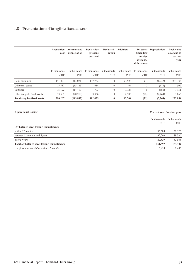## **1.8 Presentation of tangible fixed assets**

|                                    | <b>Acquisition</b><br>cost | Accumulated<br>depreciation | <b>Book value</b><br>previous<br>vear end | Reclassifi-<br>cation      | <b>Additions</b>           | <b>Disposals</b><br><i>(including)</i><br>foreign<br>exchange<br>differences) | Depreciation               | <b>Book value</b><br>as at end of<br>current<br>year |
|------------------------------------|----------------------------|-----------------------------|-------------------------------------------|----------------------------|----------------------------|-------------------------------------------------------------------------------|----------------------------|------------------------------------------------------|
|                                    | In thousands<br><b>CHF</b> | In thousands<br><b>CHF</b>  | In thousands<br><b>CHF</b>                | In thousands<br><b>CHF</b> | In thousands<br><b>CHF</b> | In thousands<br><b>CHF</b>                                                    | In thousands<br><b>CHF</b> | In thousands<br><b>CHF</b>                           |
| Bank buildings                     | 191,823                    | (14,071)                    | 177,752                                   | $\boldsymbol{0}$           | 91,526                     | (1)                                                                           | (1,942)                    | 267,335                                              |
| Other real estate                  | 15,737                     | (15, 123)                   | 614                                       | $\mathbf{0}$               | 64                         | 2                                                                             | (178)                      | 502                                                  |
| Software                           | 15,122                     | (14, 419)                   | 703                                       | $\mathbf{0}$               | 1,128                      | $\theta$                                                                      | (680)                      | 1,151                                                |
| Other tangible fixed assets        | 73,585                     | (70, 219)                   | 3,366                                     | $\mathbf{0}$               | 2,986                      | (22)                                                                          | (2,464)                    | 3,866                                                |
| <b>Total tangible fixed assets</b> | 296,267                    | (113, 832)                  | 182,435                                   | $\bf{0}$                   | 95,704                     | (21)                                                                          | (5,264)                    | 272,854                                              |

### **Operational leasing Current year Previous year**

|                                                    | In thousands<br><b>CHF</b> | In thousands<br><b>CHF</b> |
|----------------------------------------------------|----------------------------|----------------------------|
| Off balance sheet leasing commitments              |                            |                            |
| within 12 months                                   | 33,508                     | 32,523                     |
| between 12 months and 5 years                      | 95,060                     | 89,336                     |
| after 5 years                                      | 22,829                     | 32,563                     |
| <b>Total off balance sheet leasing commitments</b> | 151.397                    | 154,422                    |
| - of which cancelable within 12 months             | 3,918                      | 2.486                      |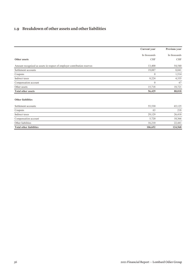## **1.9 Breakdown of other assets and other liabilities**

|                                                                          | <b>Current</b> year | Previous year |
|--------------------------------------------------------------------------|---------------------|---------------|
|                                                                          | In thousands        | In thousands  |
| <b>Other assets</b>                                                      | <b>CHF</b>          | <b>CHF</b>    |
| Amount recognised as assets in respect of employer contribution reserves | 13,400              | 54,540        |
| Settlement accounts                                                      | 19,087              | 8,841         |
| Coupons                                                                  | $\theta$            | 1,514         |
| Indirect taxes                                                           | 8,224               | 4,335         |
| Compensation account                                                     | $\mathbf{0}$        | 67            |
| Other assets                                                             | 15,718              | 18,721        |
| <b>Total other assets</b>                                                | 56,429              | 88,018        |
| <b>Other liabilities</b>                                                 |                     |               |
| Settlement accounts                                                      | 55,530              | 65,125        |
| Coupons                                                                  | 63                  | 218           |
| Indirect taxes                                                           | 29,129              | 26,418        |
| Compensation account                                                     | 5,720               | 10,366        |
| Other liabilities                                                        | 16,210              | 22,441        |
| <b>Total other liabilities</b>                                           | 106,652             | 124,568       |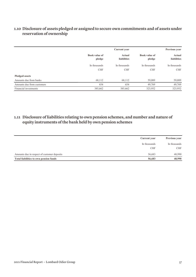## **1.10 Disclosure of assets pledged or assigned to secure own commitments and of assets under reservation of ownership**

|                            |                                | Previous year                |                                |                              |
|----------------------------|--------------------------------|------------------------------|--------------------------------|------------------------------|
|                            | <b>Book value of</b><br>pledge | Actual<br><b>liabilities</b> | <b>Book value of</b><br>pledge | Actual<br><b>liabilities</b> |
|                            | In thousands                   | In thousands                 | In thousands                   | In thousands                 |
|                            | <b>CHF</b>                     | <b>CHF</b>                   | <b>CHF</b>                     | <b>CHF</b>                   |
| <b>Pledged assets</b>      |                                |                              |                                |                              |
| Amounts due from banks     | 68,112                         | 68,112                       | 59,089                         | 59,089                       |
| Amounts due from customers | 654                            | 654                          | 49,769                         | 49,769                       |
| Financial investments      | 385,662                        | 385,662                      | 323,952                        | 323,952                      |

## **1.11 Disclosure of liabilities relating to own pension schemes, and number and nature of equity instruments of the bank held by own pension schemes**

|                                             | Current year | <b>Previous year</b> |
|---------------------------------------------|--------------|----------------------|
|                                             | In thousands | In thousands         |
|                                             | <b>CHF</b>   | <b>CHF</b>           |
| Amounts due in respect of customer deposits | 56,683       | 48,990               |
| Total liabilities to own pension funds      | 56,683       | 48,990               |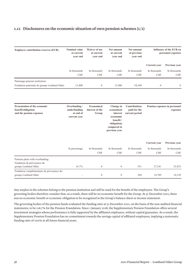## **1.12 Disclosures on the economic situation of own pension schemes (1/2)**

| <b>Employer contribution reserves (ECR)</b> | Nominal value<br>at current<br>vear end | Waiver of use<br>at current<br>vear end | Net amount<br>at current<br>year end | Net amount<br>at previous<br>vear end |                     | Influence of the ECR on<br>personnel expenses |
|---------------------------------------------|-----------------------------------------|-----------------------------------------|--------------------------------------|---------------------------------------|---------------------|-----------------------------------------------|
|                                             |                                         |                                         |                                      |                                       | <b>Current year</b> | <b>Previous year</b>                          |
|                                             | In thousands                            | In thousands                            | In thousands                         | In thousands                          | In thousands        | In thousands                                  |
|                                             | <b>CHF</b>                              | <b>CHF</b>                              | <b>CHF</b>                           | <b>CHF</b>                            | <b>CHF</b>          | <b>CHF</b>                                    |
| Patronage pension institution:              |                                         |                                         |                                      |                                       |                     |                                               |
| Fondation patronale du groupe Lombard Odier | 13,400                                  | $\boldsymbol{0}$                        | 13,400                               | 54,540                                | $\theta$            | $\overline{0}$                                |

| Presentation of the economic<br>benefit/obligation<br>and the pension expenses | Overfunding /<br>underfunding<br>at end of<br>current year | Economical<br>interest of the<br>Group | Change in<br>economical<br>interest<br><i>(economic</i><br>benefit /<br>obligation)<br>compared to<br>previous year | <b>Contributions</b><br>paid for the<br>current period |                            | Pension expenses in personnel<br>expenses |
|--------------------------------------------------------------------------------|------------------------------------------------------------|----------------------------------------|---------------------------------------------------------------------------------------------------------------------|--------------------------------------------------------|----------------------------|-------------------------------------------|
|                                                                                |                                                            |                                        |                                                                                                                     |                                                        | <b>Current</b> year        | Previous year                             |
|                                                                                | In percentage                                              | In thousands<br><b>CHF</b>             | In thousands<br><b>CHF</b>                                                                                          | In thousands<br><b>CHF</b>                             | In thousands<br><b>CHF</b> | In thousands<br><b>CHF</b>                |
| Pension plans with overfunding:<br>Fondation de prévoyance du                  |                                                            |                                        |                                                                                                                     |                                                        |                            |                                           |
| groupe Lombard Odier                                                           | 16.7%                                                      | $\overline{0}$                         | $\overline{0}$                                                                                                      | 551                                                    | 27,341                     | 25,925                                    |
| Fondation complémentaire de prévoyance du<br>groupe Lombard Odier              | ٠                                                          | $\mathbf{0}$                           | $\mathbf{0}$                                                                                                        | 204                                                    | 14,709                     | 14,338                                    |

Any surplus in the schemes belong to the pension institution and will be used for the benefit of the employees. The Group's governing bodies therefore consider that, as a result, there will be no economic benefit for the Group. At 31 December 2021, there was no economic benefit or economic obligation to be recognised in the Group's balance sheet or income statement.

The governing bodies of the pension funds evaluated the funding ratio at 31 December 2021, on the basis of the non-audited financial statements, to be 116.7% for the Pension Foundation. Since 1 January 2018, the Supplementary Pension Foundation offers several investment strategies whose performance is fully supported by the affiliated employees, without capital guarantee. As a result, the Supplementary Pension Foundation has no commitment towards the savings capital of affiliated employees, implying a systematic funding ratio of 100% in all future financial years.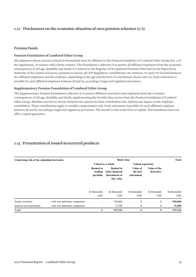## **1.12 Disclosures on the economic situation of own pension schemes (2/2)**

### **Pension funds**

### **Pension Foundation of Lombard Odier Group**

All employees whose activity is based in Switzerland must be affiliated to the Pension Foundation of Lombard Odier Group (Art. 5 of the regulations), in extenso with a Swiss contract. The Foundation's objective is to protect all affiliated employees from the economic consequences of old age, disability and death; it is entered in the Register of Occupational Pensions Plan kept by the Supervisory Authority of the Canton of Geneva, pursuant to Article 48 LPP. Regulatory contributions vary between 7% and 27% divided between the affiliated employees and the employer, depending on the age and the level of contribution chosen (Art  $51$ ). Early retirement is possible for each affiliated employee between 58 and 65, according to legal and regulatory provisions.

### **Supplementary Pension Foundation of Lombard Odier Group**

The Supplementary Pension Foundation's objective is to protect affiliated executives and employees from the economic consequences of old age, disability and death, supplementing the benefits they receive from the Pension Foundation of Lombard Odier Group. Members are free to choose between two options for their contribution rate, without any impact on the employer contribution. These contributions apply to variable compensation only. Early retirement is possible for each affiliated employee between 58 and 65, according to legal and regulatory provisions. The benefit is only in the form of capital. This foundation does not offer a capital guarantee.

## **1.13 Presentation of issued structured products**

| Underlying risk of the embedded derivative |                                          |                                                                     | Total                              |                            |                            |                            |
|--------------------------------------------|------------------------------------------|---------------------------------------------------------------------|------------------------------------|----------------------------|----------------------------|----------------------------|
|                                            |                                          |                                                                     | Valued as a whole                  | Valued separately          |                            |                            |
|                                            | <b>Booked</b> in<br>trading<br>portfolio | <b>Booked</b> in<br>other financial<br>instruments at<br>fair value | Value of<br>the host<br>instrument | Value of the<br>derivative |                            |                            |
|                                            |                                          | In thousands<br><b>CHF</b>                                          | In thousands<br><b>CHF</b>         | In thousands<br><b>CHF</b> | In thousands<br><b>CHF</b> | In thousands<br><b>CHF</b> |
| Equity securities                          | with own debenture component             | $\blacksquare$                                                      | 520,068                            | $\theta$                   | $\mathbf{0}$               | 520,068                    |
| Interest-rate instruments                  | with own debenture component             | ۰                                                                   | 75,500                             | $\boldsymbol{0}$           | $\bf{0}$                   | 75,500                     |
| <b>Total</b>                               |                                          | $\bf{0}$                                                            | 595,568                            | $\bf{0}$                   | $\bf{0}$                   | 595,568                    |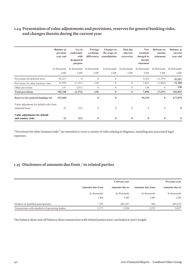## **1.14 Presentation of value adjustments and provisions, reserves for general banking risks, and changes therein during the current year**

|                                                           | <b>Balance at</b><br>previous<br>year end | Use in<br>conformity<br>with<br>designated<br>purpose | Foreign<br>exchange<br>differences | <b>Changes</b> in<br>the scope of<br>consolidation | Past due<br>interest,<br>recoveries | <b>New</b><br>creations<br>charged to<br>income<br>statement | <b>Releases to</b><br>income<br>statement | <b>Balance at</b><br>current<br>year end |
|-----------------------------------------------------------|-------------------------------------------|-------------------------------------------------------|------------------------------------|----------------------------------------------------|-------------------------------------|--------------------------------------------------------------|-------------------------------------------|------------------------------------------|
|                                                           | In thousands                              | In thousands                                          | In thousands                       | In thousands                                       | In thousands                        | In thousands                                                 | In thousands                              | In thousands                             |
|                                                           | <b>CHF</b>                                | <b>CHF</b>                                            | <b>CHF</b>                         | <b>CHF</b>                                         | <b>CHF</b>                          | <b>CHF</b>                                                   | <b>CHF</b>                                | <b>CHF</b>                               |
| Provisions for deferred taxes                             | 92,227                                    | $\theta$                                              | $\theta$                           | $\overline{0}$                                     | $\overline{\phantom{m}}$            | 5,925                                                        | (5,755)                                   | 92,397                                   |
| Provisions for other business risks                       | 12,970                                    | (1,221)                                               | (10)                               | $\overline{0}$                                     | $\overline{0}$                      | 1,033                                                        | (1, 482)                                  | 11,290                                   |
| Other provisions                                          | 151                                       | (151)                                                 | $\mathbf{0}$                       | $\overline{0}$                                     | $\overline{0}$                      | 138                                                          | $\overline{0}$                            | 138                                      |
| <b>Total provisions</b>                                   | 105,348                                   | (1,372)                                               | (10)                               | $\boldsymbol{0}$                                   | $\bf{0}$                            | 7,096                                                        | (7, 237)                                  | 103,825                                  |
| Reserves for general banking risl                         | 423,668                                   |                                                       | $\bf{0}$                           | $\bf{0}$                                           | -                                   | 54,210                                                       | $\bf{0}$                                  | 477,878                                  |
| Value adjustment for default risks from<br>impaired loans | 22                                        | (22)                                                  | $\mathbf{0}$                       | $\boldsymbol{0}$                                   | $\boldsymbol{0}$                    | $\boldsymbol{0}$                                             | $\Omega$                                  | $\bf{0}$                                 |
| Value adjustments for default<br>and country risks        | 22                                        | (22)                                                  | $\bf{0}$                           | $\bf{0}$                                           | $\bf{0}$                            | $\bf{0}$                                                     | $\bf{0}$                                  | $\bf{0}$                                 |

"Provisions for other business risks" are intended to cover a variety of risks relating to litigation, including any associated legal expenses.

## **1.15 Disclosure of amounts due from / to related parties**

|                                               |                         | Current year          |                         | <b>Previous year</b>  |
|-----------------------------------------------|-------------------------|-----------------------|-------------------------|-----------------------|
|                                               | <b>Amounts due from</b> | <b>Amounts due to</b> | <b>Amounts due from</b> | <b>Amounts due to</b> |
|                                               | In thousands            | In thousands          | In thousands            | In thousands          |
|                                               | <b>CHF</b>              | <b>CHF</b>            | <b>CHF</b>              | <b>CHF</b>            |
| Holders of qualified participations           | 595                     | 485,507               | 306                     | 485,879               |
| Transactions with members of governing bodies | 2.172                   | 2,584                 | 2,255                   | 9,837                 |

The balance sheet and off-balance sheet transactions with related parties were concluded at arm's length.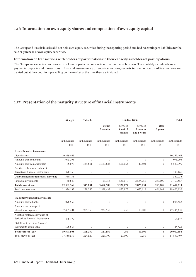## **1.16 Information on own equity shares and composition of own equity capital**

The Group and its subsidiaries did not hold own equity securities during the reporting period and had no contingent liabilities for the sale or purchase of own equity securities.

### **Information on transactions with holders of participations in their capacity as holders of participations**

The Group carries out transactions with holders of participations in its normal course of business. They notably include advance payments, deposits and transactions in financial instruments (currency transactions, security transactions, etc.). All transactions are carried out at the conditions prevailing on the market at the time they are initiated.

### **1.17 Presentation of the maturity structure of financial instruments**

|                                                                     | At sight     | Callable       |                    | <b>Residual term</b>          |                                     |                  | <b>Total</b> |
|---------------------------------------------------------------------|--------------|----------------|--------------------|-------------------------------|-------------------------------------|------------------|--------------|
|                                                                     |              |                | within<br>3 months | between<br>3 and 12<br>months | between<br>12 months<br>and 5 years | after<br>5 years |              |
|                                                                     | In thousands | In thousands   | In thousands       | In thousands                  | In thousands                        | In thousands     | In thousands |
|                                                                     | <b>CHF</b>   | <b>CHF</b>     | <b>CHF</b>         | <b>CHF</b>                    | <b>CHF</b>                          | <b>CHF</b>       | <b>CHF</b>   |
| <b>Assets/financial instruments</b>                                 |              |                |                    |                               |                                     |                  |              |
| Liquid assets                                                       | 10,359,465   |                |                    |                               |                                     |                  | 10,359,465   |
| Amounts due from banks                                              | 1,075,293    | $\overline{0}$ | $\mathbf{0}$       | $\overline{0}$                | $\overline{0}$                      | $\overline{0}$   | 1,075,293    |
| Amounts due from customers                                          | 85,076       | 349,831        | 3,357,625          | 1,600,063                     | 140,804                             | $\boldsymbol{0}$ | 5,533,399    |
| Positive replacement values of<br>derivatives financial instruments | 390,160      |                |                    |                               |                                     |                  | 390,160      |
| Other financial instruments at fair value                           | 560,735      |                |                    |                               |                                     |                  | 560,735      |
| Financial investments                                               | 30,840       | $\theta$       | 129,355            | 630,016                       | 2,684,250                           | 289,106          | 3,763,567    |
| Total current year                                                  | 12,501,569   | 349,831        | 3,486,980          | 2,230,079                     | 2,825,054                           | 289,106          | 21,682,619   |
| Total previous year                                                 | 11,326,197   | 229,355        | 2,898,437          | 1,822,875                     | 2,677,119                           | 466,849          | 19,420,832   |
| <b>Liabilities/financial instruments</b>                            |              |                |                    |                               |                                     |                  |              |
| Amounts due to banks                                                | 1,098,562    | $\mathbf{0}$   | $\boldsymbol{0}$   | $\boldsymbol{0}$              | $\mathbf{0}$                        | $\mathbf{0}$     | 1,098,562    |
| Amounts due in respect<br>of customer deposits                      | 17,409,201   | 205,350        | 227,550            | 250                           | 13,000                              | $\overline{0}$   | 17,855,351   |
| Negative replacement values of<br>derivatives financial instruments | 468,177      |                |                    |                               |                                     | $\sim$           | 468,177      |
| Liabilities from other financial<br>instruments at fair value       | 595,568      |                |                    |                               |                                     | ÷                | 595,568      |
| <b>Total current year</b>                                           | 19,571,508   | 205,350        | 227,550            | 250                           | 13,000                              | $\bf{0}$         | 20,017,658   |
| Total previous year                                                 | 17,350,537   | 224,520        | 221,100            | 27,000                        | 7,250                               | $\mathbf{0}$     | 17,830,407   |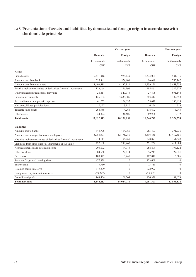## **1.18 Presentation of assets and liabilities by domestic and foreign origin in accordance with the domicile principle**

|                                                                  |                 | Current year     |                 | Previous year    |
|------------------------------------------------------------------|-----------------|------------------|-----------------|------------------|
|                                                                  | <b>Domestic</b> | Foreign          | <b>Domestic</b> | Foreign          |
|                                                                  | In thousands    | In thousands     | In thousands    | In thousands     |
|                                                                  | <b>CHF</b>      | <b>CHF</b>       | <b>CHF</b>      | <b>CHF</b>       |
| <b>Assets</b>                                                    |                 |                  |                 |                  |
| Liquid assets                                                    | 9,431,316       | 928.149          | 8,374,004       | 531,015          |
| Amounts due from banks                                           | 550,385         | 524,908          | 96.698          | 755,162          |
| Amounts due from customers                                       | 1,400,588       | 4,132,811        | 1,239,270       | 3,458,234        |
| Positive replacement values of derivatives financial instruments | 123,164         | 266,996          | 185,461         | 389,574          |
| Other financial instruments at fair value                        | 20,417          | 540,318          | 27,498          | 691,144          |
| Financial investments                                            | 125,182         | 3,638,385        | 283,414         | 3,389,358        |
| Accrued income and prepaid expenses                              | 61,252          | 104,632          | 79,610          | 136,819          |
| Non-consolidated participations                                  | 7,197           | 3,980            | 6,896           | 513              |
| Tangible fixed assets                                            | 268,588         | 4,266            | 178,692         | 3,743            |
| Other assets                                                     | 24,824          | 31,605           | 69,206          | 18,812           |
| <b>Total assets</b>                                              | 12,012,913      | 10,176,050       | 10,540,749      | 9,374,374        |
| <b>Liabilities</b>                                               |                 |                  |                 |                  |
| Amounts due to banks                                             | 643,796         | 454,766          | 265,493         | 371,736          |
| Amounts due in respect of customer deposits                      | 5,080,071       | 12,775,280       | 4,416,865       | 11,412,651       |
| Negative replacement values of derivatives financial instruments | 274,117         | 194,060          | 228,893         | 351,629          |
| Liabilities from other financial instruments at fair value       | 297,108         | 298,460          | 371,256         | 411,884          |
| Accrued expenses and deferred income                             | 293,692         | 194,978          | 258,809         | 193,122          |
| Other liabilities                                                | 84,638          | 22,014           | 96,747          | 27,821           |
| Provisions                                                       | 100,377         | 3,448            | 102,042         | 3,306            |
| Reserves for general banking risks                               | 477,878         | $\boldsymbol{0}$ | 423,668         | $\boldsymbol{0}$ |
| Share capital                                                    | 73,710          | $\overline{0}$   | 73,710          | $\boldsymbol{0}$ |
| Retained earnings reserve                                        | 679,809         | $\overline{0}$   | 722,992         | $\boldsymbol{0}$ |
| Foreign currency translation reserve                             | (29, 347)       | $\overline{0}$   | (25,502)        | $\boldsymbol{0}$ |
| Consolidated profit                                              | 168,404         | 101,704          | 126,328         | 81,673           |
| <b>Total liabilities</b>                                         | 8,144,253       | 14,044,710       | 7,061,301       | 12,853,822       |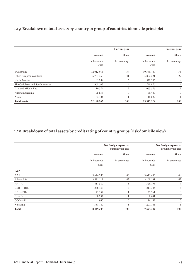## **1.19 Breakdown of total assets by country or group of countries (domicile principle)**

|                                 |               | <b>Current</b> year |               |                |
|---------------------------------|---------------|---------------------|---------------|----------------|
|                                 | <b>Amount</b> | <b>Share</b>        | <b>Amount</b> | <b>Share</b>   |
|                                 | In thousands  | In percentage       | In thousands  | In percentage  |
|                                 | <b>CHF</b>    |                     | <b>CHF</b>    |                |
| Switzerland                     | 12,012,913    | 54                  | 10,540,749    | 53             |
| Other European countries        | 6,783,460     | 31                  | 5,802,221     | 29             |
| North America                   | 1,105,989     | 5                   | 1,579,353     | 8              |
| The Caribbean and South America | 968,507       | 4                   | 740,076       | 4              |
| Asia and Middle East            | 1,110,374     | 5                   | 1,063,576     | 5              |
| Australia/Oceania               | 75,536        | $\theta$            | 70,449        | $\overline{0}$ |
| Africa                          | 132,184       |                     | 118,699       |                |
| <b>Total assets</b>             | 22,188,963    | 100                 | 19,915,124    | 100            |

## **1.20 Breakdown of total assets by credit rating of country groups (risk domicile view)**

|                 |                            | Net foreign exposure /<br>current year end |                            | Net foreign exposure /<br>previous year end |
|-----------------|----------------------------|--------------------------------------------|----------------------------|---------------------------------------------|
|                 | Amount                     | <b>Share</b>                               | Amount                     | <b>Share</b>                                |
|                 | In thousands<br><b>CHF</b> | In percentage                              | In thousands<br><b>CHF</b> | In percentage                               |
| S&P             |                            |                                            |                            |                                             |
| AAA             | 3,644,985                  | 43                                         | 3,613,486                  | 48                                          |
| $AA^+ - AA^-$   | 3,581,518                  | 42                                         | 3,168,591                  | 42                                          |
| $A^+ - A^-$     | 417,580                    | 5                                          | 329,196                    | 4                                           |
| $BBB + - BBB -$ | 268,136                    | 3                                          | 211,345                    | 3                                           |
| $BB+-BB-$       | 45,357                     |                                            | 25,761                     | $\overline{0}$                              |
| $B+-B-$         | 108,952                    |                                            | 8,641                      | $\overline{0}$                              |
| $CCC+-D$        | 960                        | $\overline{0}$                             | 36,159                     | $\overline{0}$                              |
| No rating       | 381,740                    | 5                                          | 201,163                    | 3                                           |
| Total           | 8,449,228                  | 100                                        | 7,594,342                  | 100                                         |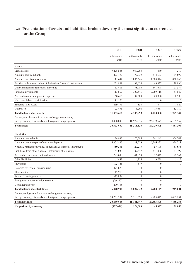## **1.21 Presentation of assets and liabilities broken down by the most significant currencies for the Group**

|                                                                  | <b>CHF</b>   | <b>EUR</b>       | <b>USD</b>       | Other            |
|------------------------------------------------------------------|--------------|------------------|------------------|------------------|
|                                                                  | In thousands | In thousands     | In thousands     | In thousands     |
|                                                                  | <b>CHF</b>   | <b>CHF</b>       | <b>CHF</b>       | <b>CHF</b>       |
| <b>Assets</b>                                                    |              |                  |                  |                  |
| Liquid assets                                                    | 9,428,585    | 930,203          | 460              | 217              |
| Amounts due from banks                                           | 493,199      | 72,639           | 474,563          | 34,892           |
| Amounts due from customers                                       | 1,111,644    | 1,886,646        | 1,504,844        | 1,030,265        |
| Positive replacement values of derivatives financial instruments | 271,861      | 38,626           | 49,837           | 29,836           |
| Other financial instruments at fair value                        | 52,483       | 38,980           | 341,698          | 127,574          |
| Financial investments                                            | 113,867      | 1,329,545        | 2,269,116        | 51,039           |
| Accrued income and prepaid expenses                              | 60,615       | 32,309           | 63,980           | 8,980            |
| Non consolidated participations                                  | 11,176       | $\mathbf{1}$     | $\mathbf{0}$     | $\Omega$         |
| Tangible fixed assets                                            | 269,736      | 850              | 441              | 1,827            |
| Other assets                                                     | 22,451       | 6,200            | 15,061           | 12,717           |
| <b>Total balance sheet assets</b>                                | 11,835,617   | 4,335,999        | 4,720,000        | 1,297,347        |
| Delivery entitlements from spot exchange transactions,           |              |                  |                  |                  |
| foreign exchange forwards and foreign exchange options           | 18,488,040   | 10,979,536       | 23,219,575       | 6,189,957        |
| <b>Total assets</b>                                              | 30,323,657   | 15,315,535       | 27,939,575       | 7,487,304        |
| <b>Liabilities</b>                                               |              |                  |                  |                  |
| Amounts due to banks                                             | 74,987       | 175,585          | 541,243          | 306,747          |
| Amounts due in respect of customer deposits                      | 4,005,887    | 5,528,529        | 6,946,222        | 1,374,713        |
| Negative replacement values of derivatives financial instruments | 359,201      | 20,215           | 57,108           | 31,653           |
| Liabilities from other financial instruments at fair value       | 53,088       | 39.677           | 371,406          | 131,397          |
| Accrued expenses and deferred income                             | 295,058      | 41,828           | 52,422           | 99,362           |
| Other liabilities                                                | 65,459       | 16,336           | 19,728           | 5,129            |
| Provisions                                                       | 103,146      | 679              | $\boldsymbol{0}$ | $\boldsymbol{0}$ |
| Reserves for general banking risks                               | 477,878      | $\boldsymbol{0}$ | $\boldsymbol{0}$ | $\boldsymbol{0}$ |
| Share capital                                                    | 73,710       | $\overline{0}$   | $\overline{0}$   | $\boldsymbol{0}$ |
| Retained earnings reserve                                        | 679,809      | $\overline{0}$   | $\overline{0}$   | $\boldsymbol{0}$ |
| Foreign currency translation reserve                             | (29, 347)    | $\overline{0}$   | $\mathbf{0}$     | $\overline{0}$   |
| Consolidated profit                                              | 270,108      | $\theta$         | $\mathbf{0}$     | $\mathbf{0}$     |
| <b>Total balance sheet liabilities</b>                           | 6,428,984    | 5,822,849        | 7,988,129        | 1,949,001        |
| Delivery obligations from spot exchange transactions,            |              |                  |                  |                  |
| foreign exchange forwards and foreign exchange options           | 24, 231, 704 | 9,318,598        | 19,905,449       | 5,487,254        |
| <b>Total liabilities</b>                                         | 30,660,688   | 15, 141, 447     | 27,893,578       | 7,436,255        |
| Net position by currency                                         | (337, 031)   | 174,089          | 45,997           | 51,050           |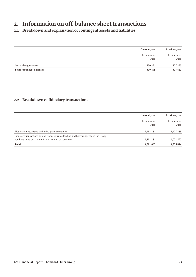## **2. Information on off-balance sheet transactions**

## **2.1 Breakdown and explanation of contingent assets and liabilities**

| Current year                                   | Previous year |
|------------------------------------------------|---------------|
| In thousands                                   | In thousands  |
| <b>CHF</b>                                     | <b>CHF</b>    |
| 330,875<br>Irrevocable guarantees              | 327,823       |
| <b>Total contingent liabilities</b><br>330,875 | 327,823       |

## **2.2 Breakdown of fiduciary transactions**

|                                                                                       | Current year | <b>Previous year</b> |
|---------------------------------------------------------------------------------------|--------------|----------------------|
|                                                                                       | In thousands | In thousands         |
|                                                                                       | <b>CHF</b>   | <b>CHF</b>           |
| Fiduciary investments with third-party companies                                      | 7,192,881    | 7,177,289            |
| Fiduciary transactions arising from securities lending and borrowing, which the Group |              |                      |
| conducts in its own name for the account of customers                                 | 1,388,181    | 1,078,527            |
| <b>Total</b>                                                                          | 8,581,062    | 8,255,816            |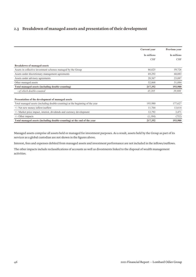## **2.3 Breakdown of managed assets and presentation of their development**

|                                                                               | Current year | Previous year |
|-------------------------------------------------------------------------------|--------------|---------------|
|                                                                               | In millions  | In millions   |
|                                                                               | <b>CHF</b>   | <b>CHF</b>    |
| <b>Breakdown of managed assets</b>                                            |              |               |
| Assets in collective investment schemes managed by the Group                  | 66,625       | 59,726        |
| Assets under discretionary management agreements                              | 69,292       | 60,083        |
| Assets under advisory agreements                                              | 28,567       | 23,087        |
| Other managed assets                                                          | 52,868       | 51,084        |
| Total managed assets (including double-counting)                              | 217,352      | 193,980       |
| - of which double-counted                                                     | 45,205       | 39,800        |
| Presentation of the development of managed assets                             |              |               |
| Total managed assets (including double-counting) at the beginning of the year | 193,980      | 177,627       |
| $+/-$ Net new money inflow/outflow                                            | 11,764       | 13,614        |
| +/- Market price impact, interest, dividends and currency development         | 12,792       | 3,471         |
| $+/-$ Other impacts                                                           | (1, 184)     | (732)         |
| Total managed assets (including double-counting) at the end of the year       | 217,352      | 193,980       |

Managed assets comprise all assets held or managed for investment purposes. As a result, assets held by the Group as part of its services as a global custodian are not shown in the figures above.

Interest, fees and expenses debited from managed assets and investment performance are not included in the inflows/outflows.

The other impacts include reclassifications of accounts as well as divestments linked to the disposal of wealth management activities.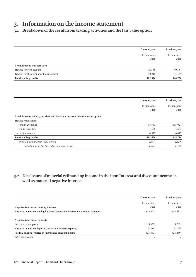## **3. Information on the income statement**

## **3.1 Breakdown of the result from trading activities and the fair value option**

|                                          | Current year | Previous year |
|------------------------------------------|--------------|---------------|
|                                          | In thousands | In thousands  |
|                                          | <b>CHF</b>   | <b>CHF</b>    |
| Breakdown by business area               |              |               |
| Trading for own account                  | 12,366       | 49,387        |
| Trading for the account of the customers | 90.210       | 95,339        |
| <b>Total trading results</b>             | 102,576      | 144,726       |

|                                                                             | Current year | Previous year |
|-----------------------------------------------------------------------------|--------------|---------------|
|                                                                             | In thousands | In thousands  |
|                                                                             | <b>CHF</b>   | <b>CHF</b>    |
| Breakdown by underlying risks and based on the use of the fair value option |              |               |
| Trading results from:                                                       |              |               |
| - foreign exchange                                                          | 96,533       | 105,027       |
| - equity securities                                                         | 1,526        | 33,682        |
| - precious metals                                                           | 4,517        | 6,017         |
| <b>Total trading results</b>                                                | 102,576      | 144,726       |
| - of which from the fair value option                                       | 1,469        | 1,325         |
| - of which from the fair value option on assets                             | 1,469        | 1,325         |

## **3.2 Disclosure of material refinancing income in the item Interest and discount income as well as material negative interest**

|                                                                                  | <b>Current</b> year | Previous year |
|----------------------------------------------------------------------------------|---------------------|---------------|
|                                                                                  | In thousands        | In thousands  |
| <b>Negative interest on lending business</b>                                     | <b>CHF</b>          | <b>CHF</b>    |
| Negative interest on lending business (decrease in interest and discount income) | (53,057)            | (48, 631)     |
| <b>Negative interest on deposits</b>                                             |                     |               |
| Interest expense payed                                                           | (8,679)             | (8,289)       |
| Negative interest on deposits (decrease in interest expense)                     | 32,042              | 31,758        |
| Positive balance reported in interest and discount income                        | (23,363)            | (23, 469)     |
| Interest expenses                                                                | $\theta$            | $\theta$      |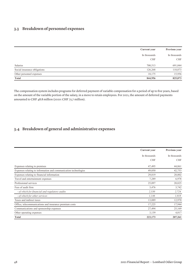## **3.3 Breakdown of personnel expenses**

|                              | Current year | Previous year |
|------------------------------|--------------|---------------|
|                              | In thousands | In thousands  |
|                              | <b>CHF</b>   | <b>CHF</b>    |
| Salaries                     | 700,513      | 691,044       |
| Social insurance obligations | 126,268      | 118,873       |
| Other personnel expenses     | 18,175       | 15,956        |
| <b>Total</b>                 | 844,956      | 825,873       |

The compensation system includes programs for deferred payment of variable compensation for a period of up to five years, based on the amount of the variable portion of the salary, in a move to retain employees. For 2021, the amount of deferred payments amounted to CHF 48.8 million (2020: CHF 75.7 million).

## **3.4 Breakdown of general and administrative expenses**

|                                                                 | <b>Current</b> year | Previous year |
|-----------------------------------------------------------------|---------------------|---------------|
|                                                                 | In thousands        | In thousands  |
|                                                                 | <b>CHF</b>          | <b>CHF</b>    |
| Expenses relating to premises                                   | 47,495              | 44,861        |
| Expenses relating to information and communication technologies | 49,050              | 42,753        |
| Expenses relating to financial information                      | 29,819              | 28,002        |
| Travel and entertainment expenses                               | 7,289               | 6,978         |
| Professional services                                           | 25,097              | 20,825        |
| Fees of audit firm                                              | 3,476               | 3,742         |
| - of which for financial and regulatory audits                  | 2,330               | 2,724         |
| - of which for other services                                   | 1,146               | 1,018         |
| Taxes and indirect taxes                                        | 13,089              | 12,970        |
| Office, telecommunications and insurance premium costs          | 17,225              | 17,944        |
| Communications and sponsorship expenses                         | 27,494              | 25,169        |
| Other operating expenses                                        | 3,139               | 4,017         |
| <b>Total</b>                                                    | 223,173             | 207,261       |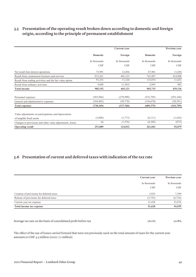## **3.5 Presentation of the operating result broken down according to domestic and foreign origin, according to the principle of permanent establishment**

|                                                           |                 | <b>Current</b> year |                 | Previous year |
|-----------------------------------------------------------|-----------------|---------------------|-----------------|---------------|
|                                                           | <b>Domestic</b> | Foreign             | <b>Domestic</b> | Foreign       |
|                                                           | In thousands    | In thousands        | In thousands    | In thousands  |
|                                                           | <b>CHF</b>      | <b>CHF</b>          | <b>CHF</b>      | <b>CHF</b>    |
| Net result fom interest operations                        | 73,991          | 12,036              | 87,901          | 11,694        |
| Result from commission business and services              | 815,261         | 443,123             | 741,897         | 414,908       |
| Result from trading activities and the fair value option  | 91,252          | 11,324              | 133,074         | 11,652        |
| Result from ordinary activities                           | 4,688           | (1,362)             | 2,843           | 882           |
| <b>Total income</b>                                       | 985,192         | 465,121             | 965,715         | 439,136       |
| Personnel expenses                                        | (565,966)       | (278,990)           | (532,705)       | (293, 168)    |
| General and administrative expenses                       | (164, 403)      | (58,770)            | (156, 670)      | (50, 591)     |
| <b>Total expenses</b>                                     | (730, 369)      | (337,760)           | (689, 375)      | (343,759)     |
| Value adjustments on participations and depreciation      |                 |                     |                 |               |
| of tangible fixed assets                                  | (3,800)         | (1,773)             | (6,111)         | (1,626)       |
| Changes to provisions and other value adjustments, losses | 66              | (1,576)             | (8,388)         | (872)         |
| <b>Operating result</b>                                   | 251,089         | 124,012             | 261,841         | 92,879        |

## **3.6 Presentation of current and deferred taxes with indication of the tax rate**

|                                           | Current year | Previous year |
|-------------------------------------------|--------------|---------------|
|                                           | In thousands | In thousands  |
|                                           | <b>CHF</b>   | <b>CHF</b>    |
| Creation of provisions for deferred taxes | 5.925        | 7.399         |
| Release of provisions for deferred taxes  | (5,755)      | (6,716)       |
| Current year tax expense                  | 51,458       | 53,876        |
| Total income tax expense                  | 51,628       | 54,559        |

| Average tax rate on the basis of consolidated profit before tax | $16.0\%$ | 20.8% |
|-----------------------------------------------------------------|----------|-------|
|                                                                 |          |       |

The effect of the use of losses carried forward that were not previously used on the total amount of taxes for the current year amounts to CHF 4.3 million (2020: 7.2 million).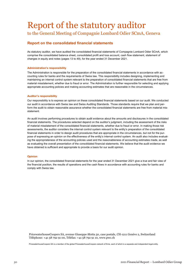# <span id="page-49-0"></span>Report of the statutory auditor

to the General Meeting of Compagnie Lombard Odier SCmA, Geneva

### **Report on the consolidated financial statements**

As statutory auditor, we have audited the consolidated financial statements of Compagnie Lombard Odier SCmA, which comprise the consolidated balance sheet, consolidated profit and loss account, cash flow statement, statement of changes in equity and notes (pages 13 to 49), for the year ended 31 December 2021.

### **Administration's responsibility**

The Administration is responsible for the preparation of the consolidated financial statements in accordance with accounting rules for banks and the requirements of Swiss law. This responsibility includes designing, implementing and maintaining an internal control system relevant to the preparation of consolidated financial statements that are free from material misstatement, whether due to fraud or error. The Administration is further responsible for selecting and applying appropriate accounting policies and making accounting estimates that are reasonable in the circumstances.

### **Auditor's responsibility**

Our responsibility is to express an opinion on these consolidated financial statements based on our audit. We conducted our audit in accordance with Swiss law and Swiss Auditing Standards. Those standards require that we plan and perform the audit to obtain reasonable assurance whether the consolidated financial statements are free from material misstatement.

An audit involves performing procedures to obtain audit evidence about the amounts and disclosures in the consolidated financial statements. The procedures selected depend on the auditor's judgment, including the assessment of the risks of material misstatement of the consolidated financial statements, whether due to fraud or error. In making those risk assessments, the auditor considers the internal control system relevant to the entity's preparation of the consolidated financial statements in order to design audit procedures that are appropriate in the circumstances, but not for the purpose of expressing an opinion on the effectiveness of the entity's internal control system. An audit also includes evaluating the appropriateness of the accounting policies used and the reasonableness of accounting estimates made, as well as evaluating the overall presentation of the consolidated financial statements. We believe that the audit evidence we have obtained is sufficient and appropriate to provide a basis for our audit opinion.

### **Opinion**

In our opinion, the consolidated financial statements for the year ended 31 December 2021 give a true and fair view of the financial position, the results of operations and the cash flows in accordance with accounting rules for banks and comply with Swiss law.

PricewaterhouseCoopers SA, avenue Giuseppe-Motta 50, case postale, CH-1211 Genève 2, Switzerland Téléphone: +41 58 792 91 00, Téléfax: +41 58 792 91 10, www.pwc.ch

PricewaterhouseCoopers SA is a member of the global PricewaterhouseCoopers network of firms, each of which is a separate and independent legal entity.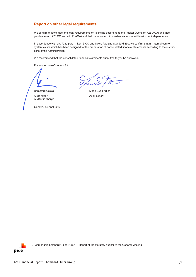### **Report on other legal requirements**

We confirm that we meet the legal requirements on licensing according to the Auditor Oversight Act (AOA) and independence (art. 728 CO and art. 11 AOA) and that there are no circumstances incompatible with our independence.

In accordance with art. 728a para. 1 item 3 CO and Swiss Auditing Standard 890, we confirm that an internal control system exists which has been designed for the preparation of consolidated financial statements according to the instructions of the Administration.

We recommend that the consolidated financial statements submitted to you be approved.

PricewaterhouseCoopers SA

Audit expert Auditor in charge

Geneva, 14 April 2022

Beresford Caloia **Marie-Eve Fortier** Marie-Eve Fortier Audit expert



2 Compagnie Lombard Odier SCmA | Report of the statutory auditor to the General Meeting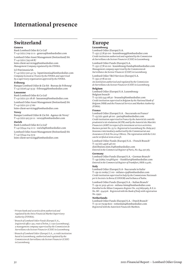## **International presence**

## **Switzerland**

#### **Geneva**

Bank Lombard Odier & Co Ltd1

T +41 (0)22 709 21 11 · geneva@lombardodier.com Lombard Odier Asset Management (Switzerland) SA

T +41 (0)22 793 06 87 loim-client-servicing@lombardodier.com

*Management Company regulated by the FINMA.*

LO Patrimonia SA

T +41 (0)22 320 42 74 · lopatrimonia@lombardodier.com *Company licensed as Trustee by the FINMA and supervised by a supervisory organisation approved by the FINMA.*

### **Fribourg**

Banque Lombard Odier & Cie SA · Bureau de Fribourg<sup>1</sup>  $T+41$  (0)26 347 55 55 · fribourg@lombardodier.com

#### **Lausanne**

Bank Lombard Odier & Co Ltd1

T +41 (0)21 321 18 18 · lausanne@lombardodier.com Lombard Odier Asset Management (Switzerland) SA

T +41 (0)21 321 17 60 loim-client-servicing@lombardodier.com

#### **Vevey**

Banque Lombard Odier & Cie SA · Agence de Vevey<sup>1</sup>  $T+41$  (0)21 923 30 11 · vevey@lombardodier.com

#### **Zurich**

Bank Lombard Odier & Co Ltd<sup>1</sup> T +41 (0)44 214 11 11 · zurich@lombardodier.com

Lombard Odier Asset Management (Switzerland) SA T +41 (0)44 214 13 13

loim-client-servicing@lombardodier.com

*<sup>1</sup> Private bank and securities firm authorised and regulated by the Swiss Financial Market Supervisory Authority (FINMA).*

*<sup>2</sup> Branch of Lombard Odier Funds (Europe) S.A., (registered office: 291, route d'Arlon, L-1150 Luxembourg), a management company supervised by the Commission de Surveillance du Secteur Financier (CSSF) in Luxembourg.*

*<sup>3</sup> Branch of Lombard Odier (Europe) S.A., a credit institution based in Luxembourg, authorised and regulated by the Commission de Surveillance du Secteur Financier (CSSF) in Luxembourg.*

## **Europe**

**Luxembourg**

Lombard Odier (Europe) S.A.  $T + 35227785000 \cdot$ luxembourg@lombardodier.com *Credit institution authorised and regulated by the Commission de Surveillance du Secteur Financier (CSSF) in Luxembourg.*

Lombard Odier Funds (Europe) S.A.

T +352 2778 10 00 · luxembourg-funds@lombardodier.com *Management company supervised by the Commission de Surveillance du Secteur Financier (CSSF) in Luxembourg.*

Lombard Odier T&O Services (Europe) S.A. T +352 2778 20 00

*An institution authorised and regulated by the Commission de Surveillance du Secteur Financier (CSSF) in Luxembourg.*

#### **Belgium**

Lombard Odier (Europe) S.A. Luxembourg ·

Belgium branch<sup>3</sup>

T +32 (0)2 543 08 30 · brussels@lombardodier.com *Credit institution supervised in Belgium by the National Bank of Belgium (NBB) and the Financial Services and Markets Authority (FSMA).*

### **France**

Lombard Odier (Europe) S.A. · Succursale en France3 T +33 (0)1 4926 46 00 · paris@lombardodier.com *Credit institution supervised in France by the Autorité de contrôle prudentiel et de résolution (ACPR) and by the Autorité des Marchés Financiers (AMF) in respect of its investment services activities. Business permit No. 23/12. Registered in Luxembourg No. B169 907. Insurance intermediary authorised by the Commissariat aux Assurances (CAA) No.2014 CM002. The registration with the CAA can be verified at www.orias.fr.*

Lombard Odier Funds (Europe) S.A. - French Branch<sup>2</sup> T +33 (0)1 4926 46 00

distribution.loim.fr@lombardodier.com

*Entered in the Commercial Register of Paris, No. 844 250 563.*

### **Germany**

Lombard Odier Funds (Europe) S.A. - German Branch<sup>2</sup> T +49 (0)69 71048 8400 · frankfurt@lombardodier.com *Entered in the Commercial Register of Frankfurt, HRB 114261.* 

#### **Italy**

Lombard Odier (Europe) S.A · Succursale in Italia3 T +39 02 0069 77 00 · milano-cp@lombardodier.com *Credit institution supervised in Italy by the Commissione Nazionale per le Società e la Borsa (CONSOB) and la Banca d'Italia.*

Lombard Odier Funds (Europe) S.A. - Italian Branch<sup>2</sup> T +39 02 3031 46 00 · milano-loim@lombardodier.com *Enrolled in the Milan Companies Register No. 10576650963, R.E.A. No. MI – 2542516. Registered with the Bank of Italy with registration No. 23951.*

#### **Netherlands**

Lombard Odier Funds (Europe) S.A. - Dutch Branch<sup>2</sup> T +31 10 79 99 600 · rotterdam@lombardodier.com *Registered with the Autoriteit Financiële Markten.*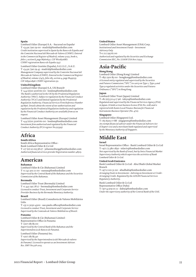#### **Spain**

Lombard Odier (Europe) S.A. · Sucursal en España 3 T +34 91 790 29 00 · madrid@lombardodier.com *Credit institution supervised in Spain by the Banco de España and the Comisión Nacional del Mercado de Valores (CNMV). Entered in the Commercial Register of Madrid, volume 31152, book 0, folio 1, section 8, page M560642. CIF W0183168D. CNMV registration Banco de España 1547.*

Lombard Odier Gestión (España), S.G.I.I.C., S.A.U. T +34 91 790 29 43 · madrid@lombardodier.com *Management Company supervised by the Comisión Nacional del Mercado de Valores (CNMV). Entered in the Commercial Register of Madrid, volume 27475, folio 183, section 4, page M495135. CIF A85921898. CNMV registration 231.*

### **United Kingdom**

Lombard Odier (Europe) S.A. UK Branch 3 T +44 (0)20 3206 60 00 · london@lombardodier.com *The Bank is authorised in the UK by the Prudential Regulation Authority ('PRA'). Subject to regulation by the Financial Conduct Authority ('FCA') and limited regulation by the Prudential Regulation Authority. Financial Services Firm Reference Number 597896. Details about the extent of our authorisation and regulation by the Prudential Regulation Authority and regulation by the Financial Conduct Authority are available from us on request.*

Lombard Odier Asset Management (Europe) Limited T +44 (0)20 3206 60 00 · london@lombardodier.com *Investment firm authorised and regulated by the Financial Conduct Authority (FCA register No.515393).*

## **Africa**

#### **South Africa**

South Africa Representative Office · Bank Lombard Odier & Co Ltd  $T + 27$  (o) 10 015 58 07 · johannesburg@lombardodier.com *Authorised financial services provider Registration number 48505.*

## **Americas**

### **Bahamas**

Lombard Odier & Cie (Bahamas) Limited T +1 242 302 21 00 · nassau@lombardodier.com *Supervised by the Central Bank of the Bahamas and the Securities Commission of the Bahamas.*

#### **Bermuda**

Lombard Odier Trust (Bermuda) Limited T +1 441 292 78 17 · bermuda@lombardodier.com *Licensed to conduct Trust, Investment and Corporate Service Provider Business by the Bermuda Monetary Authority.*

### **Brazil**

Lombard Odier (Brasil) Consultoria de Valores Mobiliários Ltda.

T +55 11 3050 4300 · sao.paulo.office@lombardodier.com *Licensed to conduct Trust, Investment and Corporate Service Supervised by the Comissão de Valores Mobiliários of Brazil.*

### **Panama**

Lombard Odier & Cie (Bahamas) Limited · Representative Office in Panama T +507 282 85 00

*Supervised by the Central Bank of the Bahamas and the Superintendencia de Bancos de Panamá.*

Lombard Odier (Panama) Inc.

#### $T + 5072828540$

*Supervised by the Superintendencia del Mercado de valores de Panamá. Licensed to operate as an Investment Advisor. Res. SMV No.528-2013.*

#### **United States**

Lombard Odier Asset Management (USA) Corp. *Institutional and Investment Funds – Investment Advisory Only* T+1 212 295 62 00 *Authorised and regulated by the Securities and Exchange Commission SEC, No. LOAM USA 801-72554.*

## **Asia-Pacific**

### **Hong Kong**

Lombard Odier (Hong Kong) Limited T +852 2501 85 00 · hongkong@lombardodier.com *A licensed entity regulated and supervised by the Securities and Futures Commission ("SFC") to carry on Type 1, Type 4 and Type 9 regulated activities under the Securities and Futures Ordinance ("SFO") in Hong Kong.*

#### **Japan**

Lombard Odier Trust (Japan) Limited T +81 (0)3 5114 17 96 · tokyo@lombardodier.com *Regulated and supervised by the Financial Services Agency (FSA) in Japan. It holds a trust business license (FSA No. 208) and is registered with Kanto Local Finance Bureau for Financial Instruments Business Operator (No. 470).*

### **Singapore**

Lombard Odier (Singapore) Ltd. T +65 6305 77 88 · singapore@lombardodier.com *An exempt financial adviser under the Financial Advisers Act (Chapter 110) and a merchant bank regulated and supervised by the Monetary Authority of Singapore.*

### **Middle East Israel**

Israel Representative Office · Bank Lombard Odier & Co Ltd T +972 73 380 1830 · telaviv@lombardodier.com *Not supervised by the Bank of Israel, but by Swiss Financial Market Supervisory Authority which supervises the activities of Bank Lombard Odier & Co Ltd.*

### **United Arab Emirates**

Bank Lombard Odier & Co Ltd · Abu Dhabi Global Market Branch

T +9712 201 31 00 · abudhabi@lombardodier.com *Arranging Deals in Investments · Advising on Investment or Credit · Arranging Credit. Regulated by the ADGM Financial Services Regulatory Authority.* 

Bank Lombard Odier & Co Ltd

Representative Office Dubai

T +9714 509 01 11 · dubai@lombardodier.com *Under the supervisory authority of the Central Bank of the UAE.*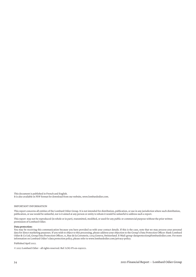This document is published in French and English. It is also available in PDF format for download from our website, www.lombardodier.com.

### IMPORTANT INFORMATION

This report concerns all entities of the Lombard Odier Group. It is not intended for distribution, publication, or use in any jurisdiction where such distribution, publication, or use would be unlawful, nor is it aimed at any person or entity to whom it would be unlawful to address such a report.

This report may not be reproduced (in whole or in part), transmitted, modified, or used for any public or commercial purpose without the prior written permission of Lombard Odier.

#### **Data protection:**

You may be receiving this communication because you have provided us with your contact details. If this is the case, note that we may process your personal data for direct marketing purposes. If you wish to object to this processing, please address your objection to the Group's Data Protection Officer: Bank Lombard Odier & Co Ltd, Group Data Protection Officer, 11, Rue de la Corraterie, 1204 Geneva, Switzerland. E-Mail: group-dataprotection@lombardodier.com. For more information on Lombard Odier's data protection policy, please refer to www.lombardodier.com/privacy-policy.

Published April 2022.

© 2022 Lombard Odier – all rights reserved. Ref. LOG-FI-en-092021.